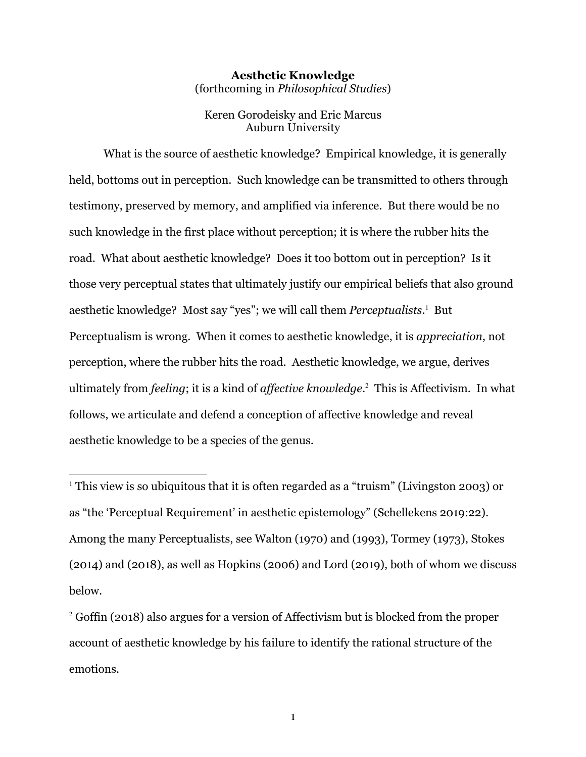#### **Aesthetic Knowledge** (forthcoming in *Philosophical Studies*)

Keren Gorodeisky and Eric Marcus Auburn University

What is the source of aesthetic knowledge? Empirical knowledge, it is generally held, bottoms out in perception. Such knowledge can be transmitted to others through testimony, preserved by memory, and amplified via inference. But there would be no such knowledge in the first place without perception; it is where the rubber hits the road. What about aesthetic knowledge? Does it too bottom out in perception? Is it those very perceptual states that ultimately justify our empirical beliefs that also ground aesthetic knowledge? Most say "yes"; we will call them *Perceptualists*.<sup>1</sup> But Perceptualism is wrong. When it comes to aesthetic knowledge, it is *appreciation*, not perception, where the rubber hits the road. Aesthetic knowledge, we argue, derives ultimately from *feeling*; it is a kind of *affective knowledge*. <sup>2</sup> This is Affectivism. In what follows, we articulate and defend a conception of affective knowledge and reveal aesthetic knowledge to be a species of the genus.

<sup>1</sup> This view is so ubiquitous that it is often regarded as a "truism" (Livingston 2003) or as "the 'Perceptual Requirement' in aesthetic epistemology" (Schellekens 2019:22). Among the many Perceptualists, see Walton (1970) and (1993), Tormey (1973), Stokes (2014) and (2018), as well as Hopkins (2006) and Lord (2019), both of whom we discuss below.

<sup>2</sup> Goffin (2018) also argues for a version of Affectivism but is blocked from the proper account of aesthetic knowledge by his failure to identify the rational structure of the emotions.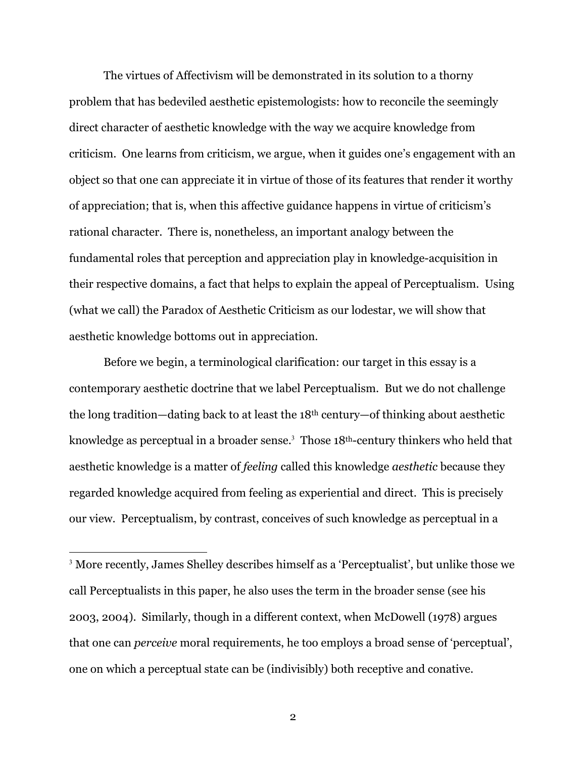The virtues of Affectivism will be demonstrated in its solution to a thorny problem that has bedeviled aesthetic epistemologists: how to reconcile the seemingly direct character of aesthetic knowledge with the way we acquire knowledge from criticism. One learns from criticism, we argue, when it guides one's engagement with an object so that one can appreciate it in virtue of those of its features that render it worthy of appreciation; that is, when this affective guidance happens in virtue of criticism's rational character. There is, nonetheless, an important analogy between the fundamental roles that perception and appreciation play in knowledge-acquisition in their respective domains, a fact that helps to explain the appeal of Perceptualism. Using (what we call) the Paradox of Aesthetic Criticism as our lodestar, we will show that aesthetic knowledge bottoms out in appreciation.

Before we begin, a terminological clarification: our target in this essay is a contemporary aesthetic doctrine that we label Perceptualism. But we do not challenge the long tradition—dating back to at least the 18th century—of thinking about aesthetic knowledge as perceptual in a broader sense.<sup>3</sup> Those 18<sup>th</sup>-century thinkers who held that aesthetic knowledge is a matter of *feeling* called this knowledge *aesthetic* because they regarded knowledge acquired from feeling as experiential and direct. This is precisely our view. Perceptualism, by contrast, conceives of such knowledge as perceptual in a

<sup>3</sup> More recently, James Shelley describes himself as a 'Perceptualist', but unlike those we call Perceptualists in this paper, he also uses the term in the broader sense (see his 2003, 2004). Similarly, though in a different context, when McDowell (1978) argues that one can *perceive* moral requirements, he too employs a broad sense of 'perceptual', one on which a perceptual state can be (indivisibly) both receptive and conative.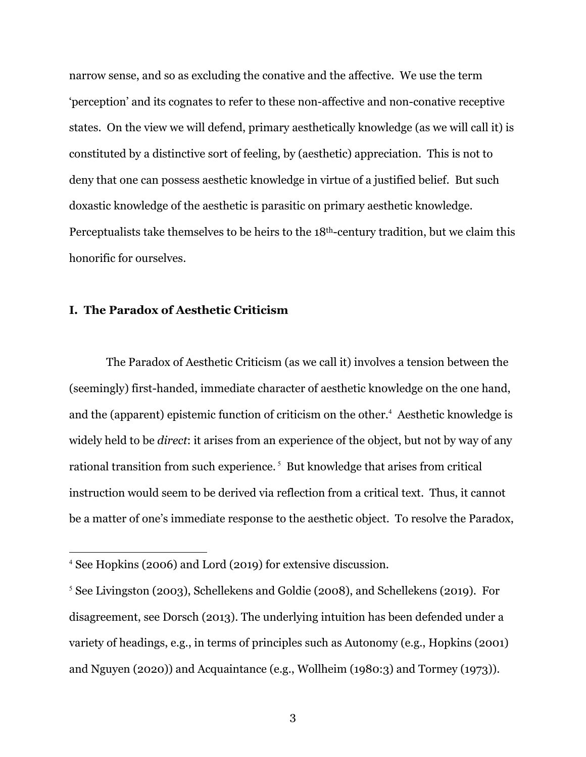narrow sense, and so as excluding the conative and the affective. We use the term 'perception' and its cognates to refer to these non-affective and non-conative receptive states. On the view we will defend, primary aesthetically knowledge (as we will call it) is constituted by a distinctive sort of feeling, by (aesthetic) appreciation. This is not to deny that one can possess aesthetic knowledge in virtue of a justified belief. But such doxastic knowledge of the aesthetic is parasitic on primary aesthetic knowledge. Perceptualists take themselves to be heirs to the 18th-century tradition, but we claim this honorific for ourselves.

## **I. The Paradox of Aesthetic Criticism**

The Paradox of Aesthetic Criticism (as we call it) involves a tension between the (seemingly) first-handed, immediate character of aesthetic knowledge on the one hand, and the (apparent) epistemic function of criticism on the other.<sup>4</sup> Aesthetic knowledge is widely held to be *direct*: it arises from an experience of the object, but not by way of any rational transition from such experience.<sup>5</sup> But knowledge that arises from critical instruction would seem to be derived via reflection from a critical text. Thus, it cannot be a matter of one's immediate response to the aesthetic object. To resolve the Paradox,

<sup>4</sup> See Hopkins (2006) and Lord (2019) for extensive discussion.

<sup>5</sup> See Livingston (2003), Schellekens and Goldie (2008), and Schellekens (2019). For disagreement, see Dorsch (2013). The underlying intuition has been defended under a variety of headings, e.g., in terms of principles such as Autonomy (e.g., Hopkins (2001) and Nguyen (2020)) and Acquaintance (e.g., Wollheim (1980:3) and Tormey (1973)).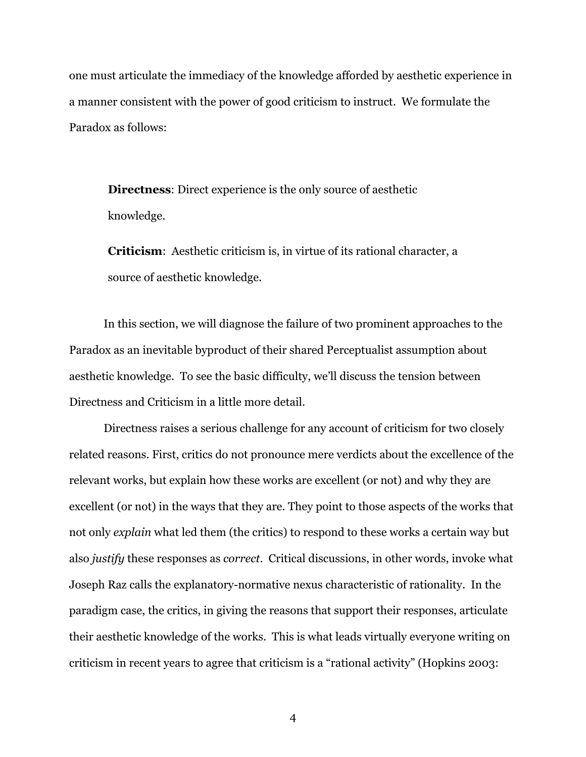one must articulate the immediacy of the knowledge afforded by aesthetic experience in a manner consistent with the power of good criticism to instruct. We formulate the Paradox as follows:

**Directness**: Direct experience is the only source of aesthetic knowledge.

**Criticism**: Aesthetic criticism is, in virtue of its rational character, a source of aesthetic knowledge.

In this section, we will diagnose the failure of two prominent approaches to the Paradox as an inevitable byproduct of their shared Perceptualist assumption about aesthetic knowledge. To see the basic difficulty, we'll discuss the tension between Directness and Criticism in a little more detail.

Directness raises a serious challenge for any account of criticism for two closely related reasons. First, critics do not pronounce mere verdicts about the excellence of the relevant works, but explain how these works are excellent (or not) and why they are excellent (or not) in the ways that they are. They point to those aspects of the works that not only *explain* what led them (the critics) to respond to these works a certain way but also *justify* these responses as *correct*. Critical discussions, in other words, invoke what Joseph Raz calls the explanatory-normative nexus characteristic of rationality. In the paradigm case, the critics, in giving the reasons that support their responses, articulate their aesthetic knowledge of the works. This is what leads virtually everyone writing on criticism in recent years to agree that criticism is a "rational activity" (Hopkins 2003: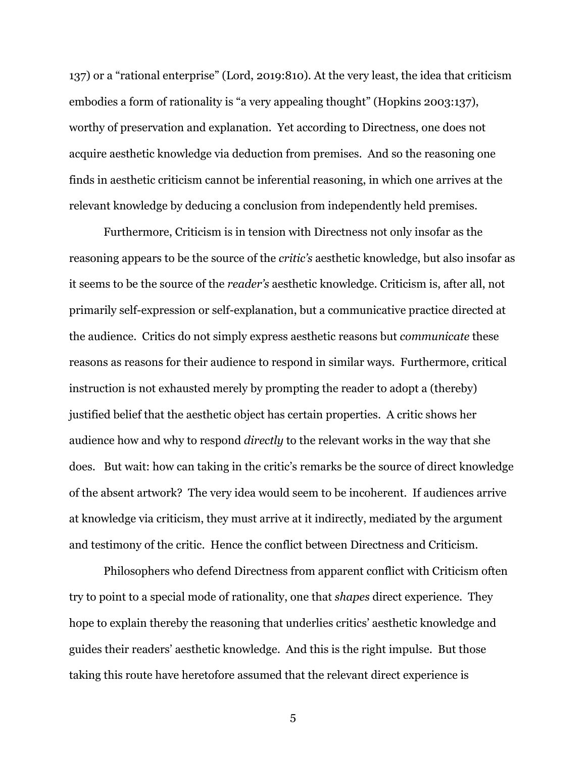137) or a "rational enterprise" (Lord, 2019:810). At the very least, the idea that criticism embodies a form of rationality is "a very appealing thought" (Hopkins 2003:137), worthy of preservation and explanation. Yet according to Directness, one does not acquire aesthetic knowledge via deduction from premises. And so the reasoning one finds in aesthetic criticism cannot be inferential reasoning, in which one arrives at the relevant knowledge by deducing a conclusion from independently held premises.

Furthermore, Criticism is in tension with Directness not only insofar as the reasoning appears to be the source of the *critic's* aesthetic knowledge, but also insofar as it seems to be the source of the *reader's* aesthetic knowledge. Criticism is, after all, not primarily self-expression or self-explanation, but a communicative practice directed at the audience. Critics do not simply express aesthetic reasons but *communicate* these reasons as reasons for their audience to respond in similar ways. Furthermore, critical instruction is not exhausted merely by prompting the reader to adopt a (thereby) justified belief that the aesthetic object has certain properties. A critic shows her audience how and why to respond *directly* to the relevant works in the way that she does. But wait: how can taking in the critic's remarks be the source of direct knowledge of the absent artwork? The very idea would seem to be incoherent. If audiences arrive at knowledge via criticism, they must arrive at it indirectly, mediated by the argument and testimony of the critic. Hence the conflict between Directness and Criticism.

Philosophers who defend Directness from apparent conflict with Criticism often try to point to a special mode of rationality, one that *shapes* direct experience. They hope to explain thereby the reasoning that underlies critics' aesthetic knowledge and guides their readers' aesthetic knowledge. And this is the right impulse. But those taking this route have heretofore assumed that the relevant direct experience is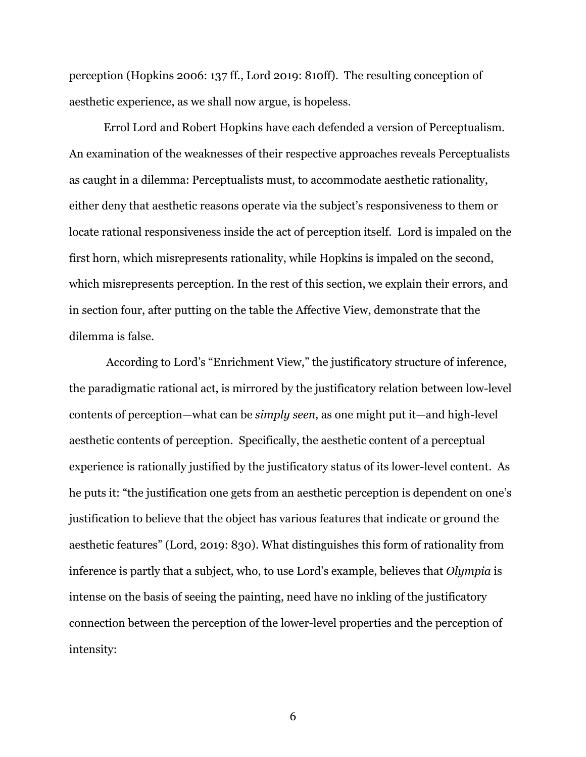perception (Hopkins 2006: 137 ff., Lord 2019: 810ff). The resulting conception of aesthetic experience, as we shall now argue, is hopeless.

Errol Lord and Robert Hopkins have each defended a version of Perceptualism. An examination of the weaknesses of their respective approaches reveals Perceptualists as caught in a dilemma: Perceptualists must, to accommodate aesthetic rationality, either deny that aesthetic reasons operate via the subject's responsiveness to them or locate rational responsiveness inside the act of perception itself. Lord is impaled on the first horn, which misrepresents rationality, while Hopkins is impaled on the second, which misrepresents perception. In the rest of this section, we explain their errors, and in section four, after putting on the table the Affective View, demonstrate that the dilemma is false.

According to Lord's "Enrichment View," the justificatory structure of inference, the paradigmatic rational act, is mirrored by the justificatory relation between low-level contents of perception—what can be *simply seen*, as one might put it—and high-level aesthetic contents of perception. Specifically, the aesthetic content of a perceptual experience is rationally justified by the justificatory status of its lower-level content. As he puts it: "the justification one gets from an aesthetic perception is dependent on one's justification to believe that the object has various features that indicate or ground the aesthetic features" (Lord, 2019: 830). What distinguishes this form of rationality from inference is partly that a subject, who, to use Lord's example, believes that *Olympia* is intense on the basis of seeing the painting, need have no inkling of the justificatory connection between the perception of the lower-level properties and the perception of intensity: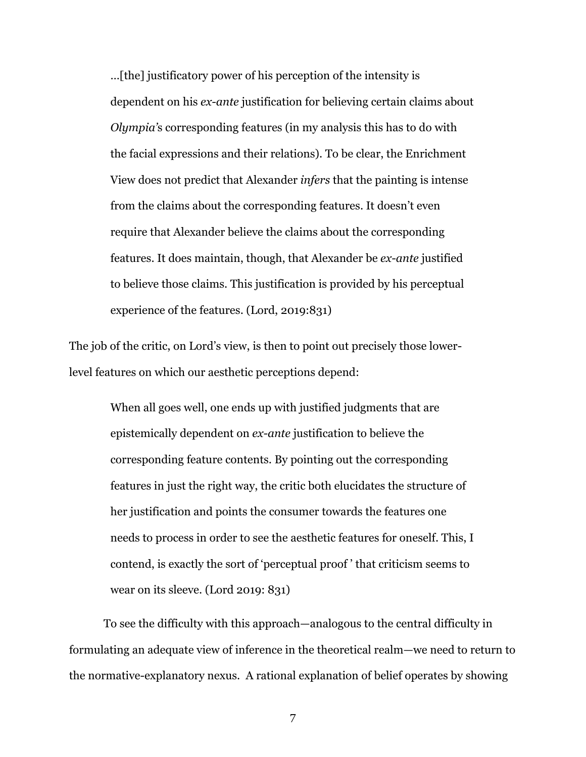…[the] justificatory power of his perception of the intensity is dependent on his *ex-ante* justification for believing certain claims about *Olympia'*s corresponding features (in my analysis this has to do with the facial expressions and their relations). To be clear, the Enrichment View does not predict that Alexander *infers* that the painting is intense from the claims about the corresponding features. It doesn't even require that Alexander believe the claims about the corresponding features. It does maintain, though, that Alexander be *ex-ante* justified to believe those claims. This justification is provided by his perceptual experience of the features. (Lord, 2019:831)

The job of the critic, on Lord's view, is then to point out precisely those lowerlevel features on which our aesthetic perceptions depend:

> When all goes well, one ends up with justified judgments that are epistemically dependent on *ex-ante* justification to believe the corresponding feature contents. By pointing out the corresponding features in just the right way, the critic both elucidates the structure of her justification and points the consumer towards the features one needs to process in order to see the aesthetic features for oneself. This, I contend, is exactly the sort of 'perceptual proof ' that criticism seems to wear on its sleeve. (Lord 2019: 831)

To see the difficulty with this approach—analogous to the central difficulty in formulating an adequate view of inference in the theoretical realm—we need to return to the normative-explanatory nexus. A rational explanation of belief operates by showing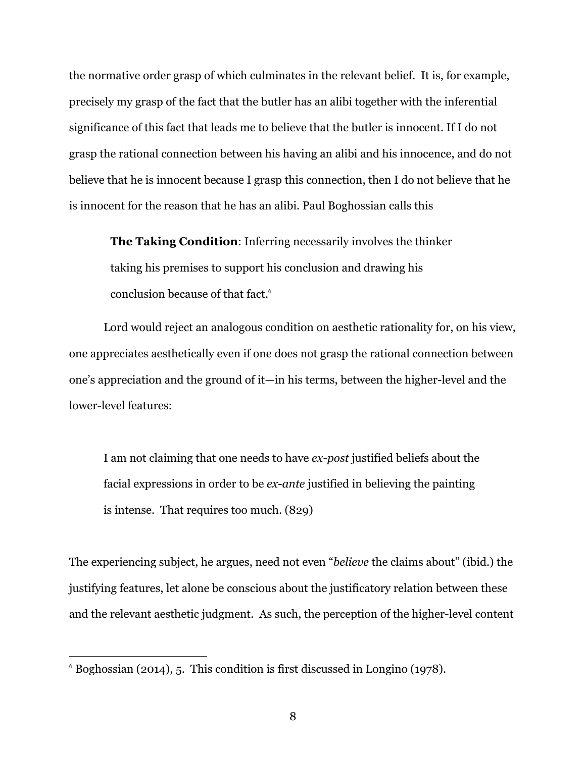the normative order grasp of which culminates in the relevant belief. It is, for example, precisely my grasp of the fact that the butler has an alibi together with the inferential significance of this fact that leads me to believe that the butler is innocent. If I do not grasp the rational connection between his having an alibi and his innocence, and do not believe that he is innocent because I grasp this connection, then I do not believe that he is innocent for the reason that he has an alibi. Paul Boghossian calls this

**The Taking Condition**: Inferring necessarily involves the thinker taking his premises to support his conclusion and drawing his conclusion because of that fact.<sup>6</sup>

Lord would reject an analogous condition on aesthetic rationality for, on his view, one appreciates aesthetically even if one does not grasp the rational connection between one's appreciation and the ground of it—in his terms, between the higher-level and the lower-level features:

I am not claiming that one needs to have *ex-post* justified beliefs about the facial expressions in order to be *ex-ante* justified in believing the painting is intense. That requires too much. (829)

The experiencing subject, he argues, need not even "*believe* the claims about" (ibid.) the justifying features, let alone be conscious about the justificatory relation between these and the relevant aesthetic judgment. As such, the perception of the higher-level content

<sup>6</sup> Boghossian (2014), 5. This condition is first discussed in Longino (1978).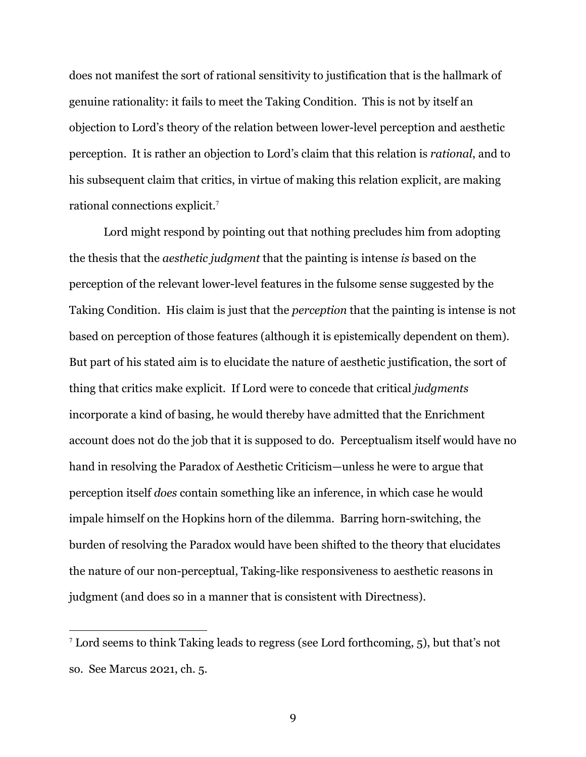does not manifest the sort of rational sensitivity to justification that is the hallmark of genuine rationality: it fails to meet the Taking Condition. This is not by itself an objection to Lord's theory of the relation between lower-level perception and aesthetic perception. It is rather an objection to Lord's claim that this relation is *rational*, and to his subsequent claim that critics, in virtue of making this relation explicit, are making rational connections explicit.<sup>7</sup>

Lord might respond by pointing out that nothing precludes him from adopting the thesis that the *aesthetic judgment* that the painting is intense *is* based on the perception of the relevant lower-level features in the fulsome sense suggested by the Taking Condition. His claim is just that the *perception* that the painting is intense is not based on perception of those features (although it is epistemically dependent on them). But part of his stated aim is to elucidate the nature of aesthetic justification, the sort of thing that critics make explicit. If Lord were to concede that critical *judgments* incorporate a kind of basing, he would thereby have admitted that the Enrichment account does not do the job that it is supposed to do. Perceptualism itself would have no hand in resolving the Paradox of Aesthetic Criticism—unless he were to argue that perception itself *does* contain something like an inference, in which case he would impale himself on the Hopkins horn of the dilemma. Barring horn-switching, the burden of resolving the Paradox would have been shifted to the theory that elucidates the nature of our non-perceptual, Taking-like responsiveness to aesthetic reasons in judgment (and does so in a manner that is consistent with Directness).

 $<sup>7</sup>$  Lord seems to think Taking leads to regress (see Lord forthcoming, 5), but that's not</sup> so. See Marcus 2021, ch. 5.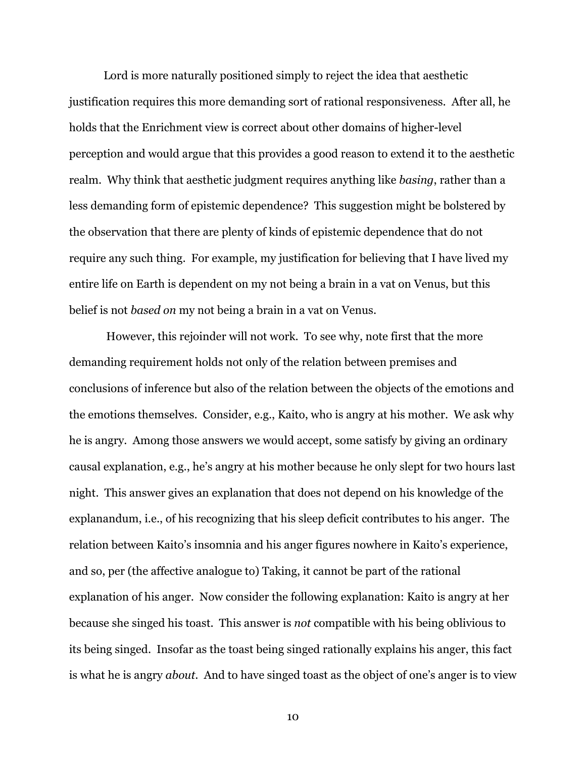Lord is more naturally positioned simply to reject the idea that aesthetic justification requires this more demanding sort of rational responsiveness. After all, he holds that the Enrichment view is correct about other domains of higher-level perception and would argue that this provides a good reason to extend it to the aesthetic realm. Why think that aesthetic judgment requires anything like *basing*, rather than a less demanding form of epistemic dependence? This suggestion might be bolstered by the observation that there are plenty of kinds of epistemic dependence that do not require any such thing. For example, my justification for believing that I have lived my entire life on Earth is dependent on my not being a brain in a vat on Venus, but this belief is not *based on* my not being a brain in a vat on Venus.

However, this rejoinder will not work. To see why, note first that the more demanding requirement holds not only of the relation between premises and conclusions of inference but also of the relation between the objects of the emotions and the emotions themselves. Consider, e.g., Kaito, who is angry at his mother. We ask why he is angry. Among those answers we would accept, some satisfy by giving an ordinary causal explanation, e.g., he's angry at his mother because he only slept for two hours last night. This answer gives an explanation that does not depend on his knowledge of the explanandum, i.e., of his recognizing that his sleep deficit contributes to his anger. The relation between Kaito's insomnia and his anger figures nowhere in Kaito's experience, and so, per (the affective analogue to) Taking, it cannot be part of the rational explanation of his anger. Now consider the following explanation: Kaito is angry at her because she singed his toast. This answer is *not* compatible with his being oblivious to its being singed. Insofar as the toast being singed rationally explains his anger, this fact is what he is angry *about*. And to have singed toast as the object of one's anger is to view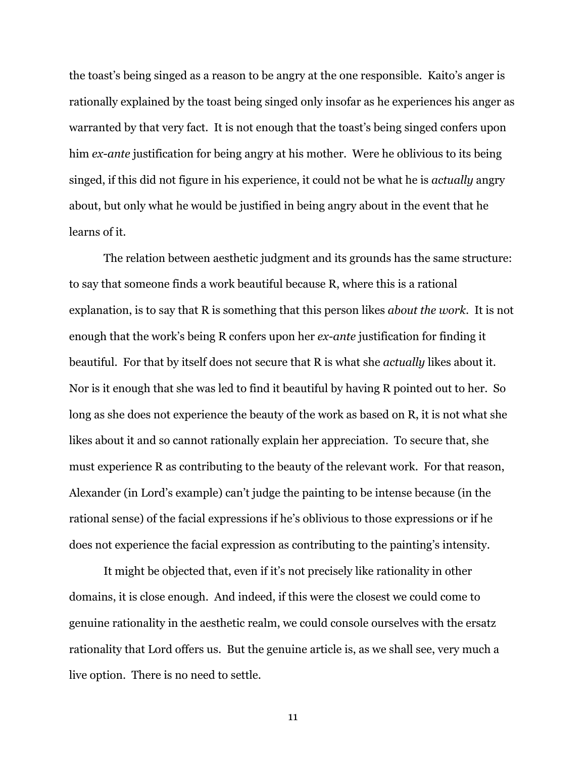the toast's being singed as a reason to be angry at the one responsible. Kaito's anger is rationally explained by the toast being singed only insofar as he experiences his anger as warranted by that very fact. It is not enough that the toast's being singed confers upon him *ex-ante* justification for being angry at his mother. Were he oblivious to its being singed, if this did not figure in his experience, it could not be what he is *actually* angry about, but only what he would be justified in being angry about in the event that he learns of it.

The relation between aesthetic judgment and its grounds has the same structure: to say that someone finds a work beautiful because R, where this is a rational explanation, is to say that R is something that this person likes *about the work*. It is not enough that the work's being R confers upon her *ex-ante* justification for finding it beautiful. For that by itself does not secure that R is what she *actually* likes about it. Nor is it enough that she was led to find it beautiful by having R pointed out to her. So long as she does not experience the beauty of the work as based on R, it is not what she likes about it and so cannot rationally explain her appreciation. To secure that, she must experience R as contributing to the beauty of the relevant work. For that reason, Alexander (in Lord's example) can't judge the painting to be intense because (in the rational sense) of the facial expressions if he's oblivious to those expressions or if he does not experience the facial expression as contributing to the painting's intensity.

It might be objected that, even if it's not precisely like rationality in other domains, it is close enough. And indeed, if this were the closest we could come to genuine rationality in the aesthetic realm, we could console ourselves with the ersatz rationality that Lord offers us. But the genuine article is, as we shall see, very much a live option. There is no need to settle.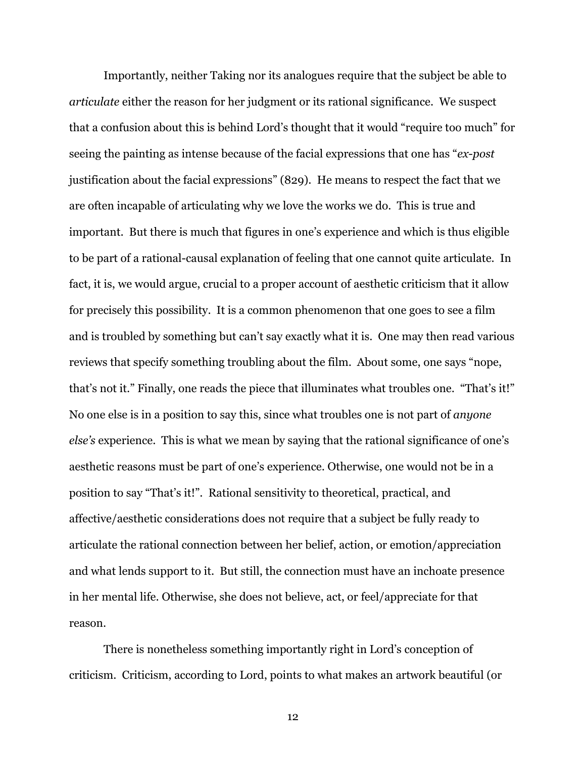Importantly, neither Taking nor its analogues require that the subject be able to *articulate* either the reason for her judgment or its rational significance. We suspect that a confusion about this is behind Lord's thought that it would "require too much" for seeing the painting as intense because of the facial expressions that one has "*ex-post* justification about the facial expressions" (829). He means to respect the fact that we are often incapable of articulating why we love the works we do. This is true and important. But there is much that figures in one's experience and which is thus eligible to be part of a rational-causal explanation of feeling that one cannot quite articulate. In fact, it is, we would argue, crucial to a proper account of aesthetic criticism that it allow for precisely this possibility. It is a common phenomenon that one goes to see a film and is troubled by something but can't say exactly what it is. One may then read various reviews that specify something troubling about the film. About some, one says "nope, that's not it." Finally, one reads the piece that illuminates what troubles one. "That's it!" No one else is in a position to say this, since what troubles one is not part of *anyone else's* experience. This is what we mean by saying that the rational significance of one's aesthetic reasons must be part of one's experience. Otherwise, one would not be in a position to say "That's it!". Rational sensitivity to theoretical, practical, and affective/aesthetic considerations does not require that a subject be fully ready to articulate the rational connection between her belief, action, or emotion/appreciation and what lends support to it. But still, the connection must have an inchoate presence in her mental life. Otherwise, she does not believe, act, or feel/appreciate for that reason.

There is nonetheless something importantly right in Lord's conception of criticism. Criticism, according to Lord, points to what makes an artwork beautiful (or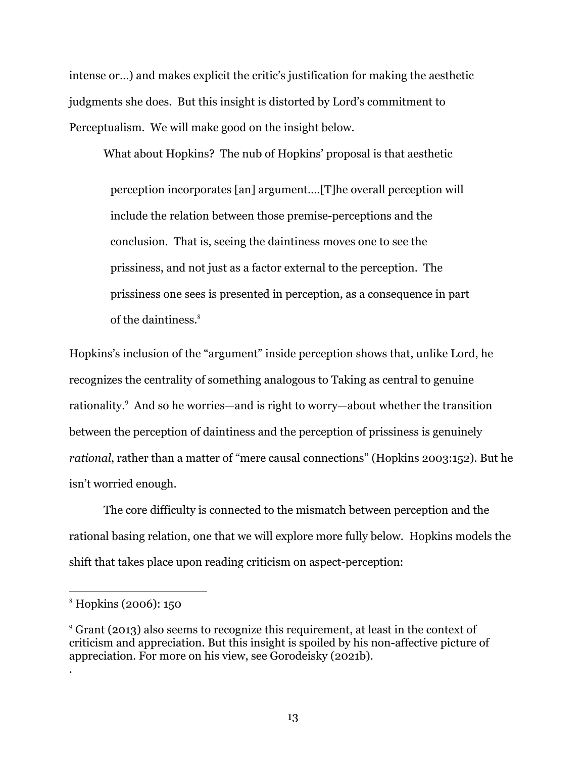intense or…) and makes explicit the critic's justification for making the aesthetic judgments she does. But this insight is distorted by Lord's commitment to Perceptualism. We will make good on the insight below.

What about Hopkins? The nub of Hopkins' proposal is that aesthetic perception incorporates [an] argument….[T]he overall perception will include the relation between those premise-perceptions and the conclusion. That is, seeing the daintiness moves one to see the prissiness, and not just as a factor external to the perception. The prissiness one sees is presented in perception, as a consequence in part of the daintiness.<sup>8</sup>

Hopkins's inclusion of the "argument" inside perception shows that, unlike Lord, he recognizes the centrality of something analogous to Taking as central to genuine rationality.<sup>9</sup> And so he worries—and is right to worry—about whether the transition between the perception of daintiness and the perception of prissiness is genuinely *rational*, rather than a matter of "mere causal connections" (Hopkins 2003:152). But he isn't worried enough.

The core difficulty is connected to the mismatch between perception and the rational basing relation, one that we will explore more fully below. Hopkins models the shift that takes place upon reading criticism on aspect-perception:

.

<sup>8</sup> Hopkins (2006): 150

<sup>9</sup> Grant (2013) also seems to recognize this requirement, at least in the context of criticism and appreciation. But this insight is spoiled by his non-affective picture of appreciation. For more on his view, see Gorodeisky (2021b).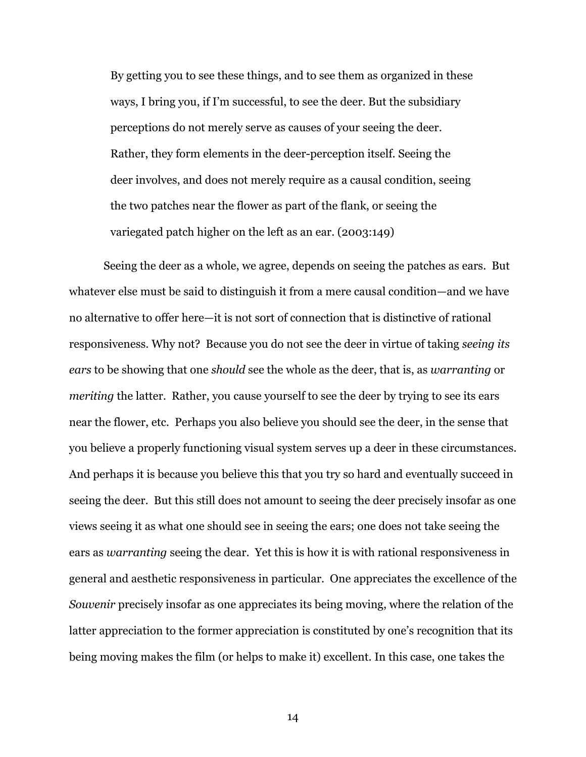By getting you to see these things, and to see them as organized in these ways, I bring you, if I'm successful, to see the deer. But the subsidiary perceptions do not merely serve as causes of your seeing the deer. Rather, they form elements in the deer-perception itself. Seeing the deer involves, and does not merely require as a causal condition, seeing the two patches near the flower as part of the flank, or seeing the variegated patch higher on the left as an ear. (2003:149)

Seeing the deer as a whole, we agree, depends on seeing the patches as ears. But whatever else must be said to distinguish it from a mere causal condition—and we have no alternative to offer here—it is not sort of connection that is distinctive of rational responsiveness. Why not? Because you do not see the deer in virtue of taking *seeing its ears* to be showing that one *should* see the whole as the deer, that is, as *warranting* or *meriting* the latter. Rather, you cause yourself to see the deer by trying to see its ears near the flower, etc. Perhaps you also believe you should see the deer, in the sense that you believe a properly functioning visual system serves up a deer in these circumstances. And perhaps it is because you believe this that you try so hard and eventually succeed in seeing the deer. But this still does not amount to seeing the deer precisely insofar as one views seeing it as what one should see in seeing the ears; one does not take seeing the ears as *warranting* seeing the dear. Yet this is how it is with rational responsiveness in general and aesthetic responsiveness in particular. One appreciates the excellence of the *Souvenir* precisely insofar as one appreciates its being moving, where the relation of the latter appreciation to the former appreciation is constituted by one's recognition that its being moving makes the film (or helps to make it) excellent. In this case, one takes the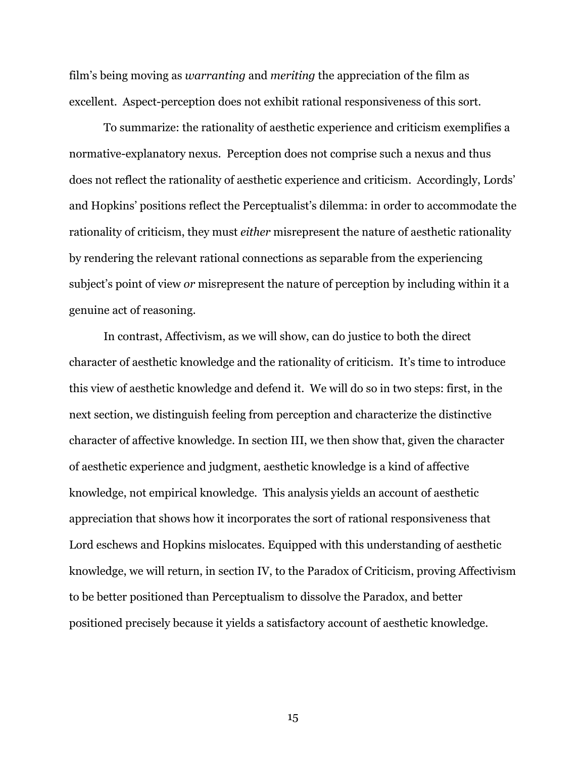film's being moving as *warranting* and *meriting* the appreciation of the film as excellent. Aspect-perception does not exhibit rational responsiveness of this sort.

To summarize: the rationality of aesthetic experience and criticism exemplifies a normative-explanatory nexus. Perception does not comprise such a nexus and thus does not reflect the rationality of aesthetic experience and criticism. Accordingly, Lords' and Hopkins' positions reflect the Perceptualist's dilemma: in order to accommodate the rationality of criticism, they must *either* misrepresent the nature of aesthetic rationality by rendering the relevant rational connections as separable from the experiencing subject's point of view *or* misrepresent the nature of perception by including within it a genuine act of reasoning.

In contrast, Affectivism, as we will show, can do justice to both the direct character of aesthetic knowledge and the rationality of criticism. It's time to introduce this view of aesthetic knowledge and defend it. We will do so in two steps: first, in the next section, we distinguish feeling from perception and characterize the distinctive character of affective knowledge. In section III, we then show that, given the character of aesthetic experience and judgment, aesthetic knowledge is a kind of affective knowledge, not empirical knowledge. This analysis yields an account of aesthetic appreciation that shows how it incorporates the sort of rational responsiveness that Lord eschews and Hopkins mislocates. Equipped with this understanding of aesthetic knowledge, we will return, in section IV, to the Paradox of Criticism, proving Affectivism to be better positioned than Perceptualism to dissolve the Paradox, and better positioned precisely because it yields a satisfactory account of aesthetic knowledge.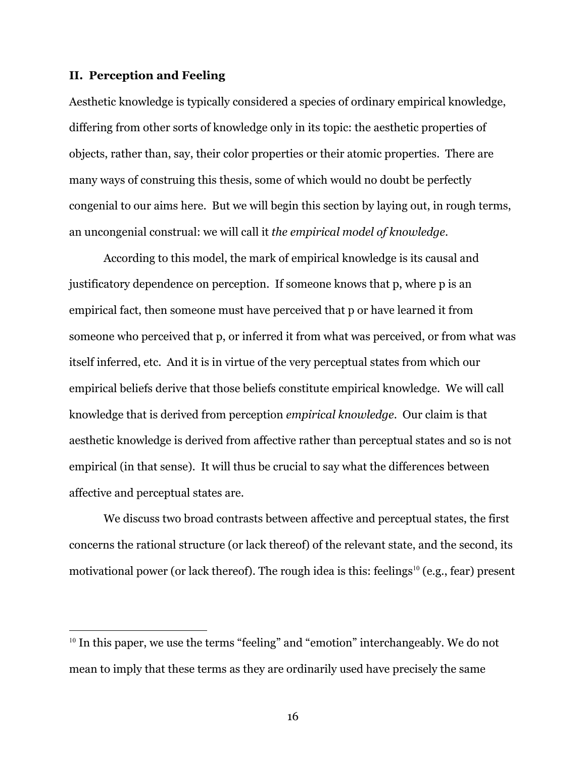#### **II. Perception and Feeling**

Aesthetic knowledge is typically considered a species of ordinary empirical knowledge, differing from other sorts of knowledge only in its topic: the aesthetic properties of objects, rather than, say, their color properties or their atomic properties. There are many ways of construing this thesis, some of which would no doubt be perfectly congenial to our aims here. But we will begin this section by laying out, in rough terms, an uncongenial construal: we will call it *the empirical model of knowledge*.

According to this model, the mark of empirical knowledge is its causal and justificatory dependence on perception. If someone knows that p, where p is an empirical fact, then someone must have perceived that p or have learned it from someone who perceived that p, or inferred it from what was perceived, or from what was itself inferred, etc. And it is in virtue of the very perceptual states from which our empirical beliefs derive that those beliefs constitute empirical knowledge. We will call knowledge that is derived from perception *empirical knowledge*. Our claim is that aesthetic knowledge is derived from affective rather than perceptual states and so is not empirical (in that sense). It will thus be crucial to say what the differences between affective and perceptual states are.

We discuss two broad contrasts between affective and perceptual states, the first concerns the rational structure (or lack thereof) of the relevant state, and the second, its motivational power (or lack thereof). The rough idea is this: feelings<sup>10</sup> (e.g., fear) present

<sup>&</sup>lt;sup>10</sup> In this paper, we use the terms "feeling" and "emotion" interchangeably. We do not mean to imply that these terms as they are ordinarily used have precisely the same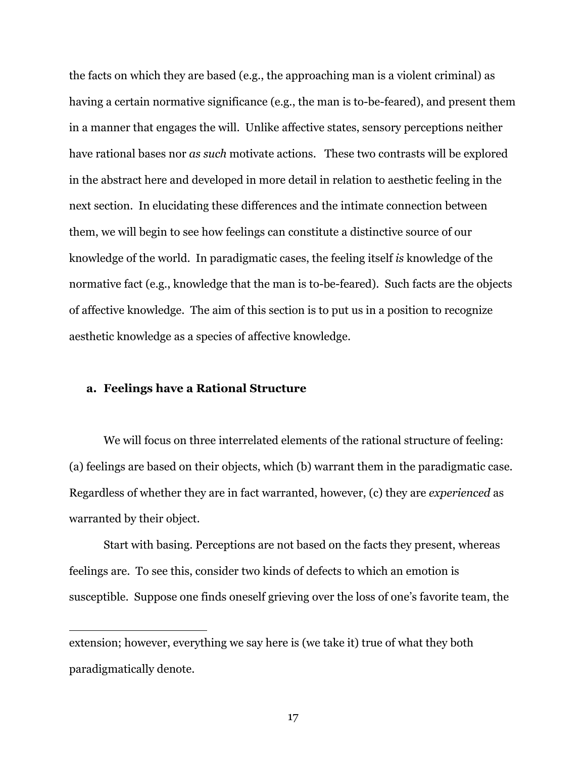the facts on which they are based (e.g., the approaching man is a violent criminal) as having a certain normative significance (e.g., the man is to-be-feared), and present them in a manner that engages the will. Unlike affective states, sensory perceptions neither have rational bases nor *as such* motivate actions. These two contrasts will be explored in the abstract here and developed in more detail in relation to aesthetic feeling in the next section. In elucidating these differences and the intimate connection between them, we will begin to see how feelings can constitute a distinctive source of our knowledge of the world. In paradigmatic cases, the feeling itself *is* knowledge of the normative fact (e.g., knowledge that the man is to-be-feared). Such facts are the objects of affective knowledge. The aim of this section is to put us in a position to recognize aesthetic knowledge as a species of affective knowledge.

#### **a. Feelings have a Rational Structure**

We will focus on three interrelated elements of the rational structure of feeling: (a) feelings are based on their objects, which (b) warrant them in the paradigmatic case. Regardless of whether they are in fact warranted, however, (c) they are *experienced* as warranted by their object.

Start with basing. Perceptions are not based on the facts they present, whereas feelings are. To see this, consider two kinds of defects to which an emotion is susceptible. Suppose one finds oneself grieving over the loss of one's favorite team, the

extension; however, everything we say here is (we take it) true of what they both paradigmatically denote.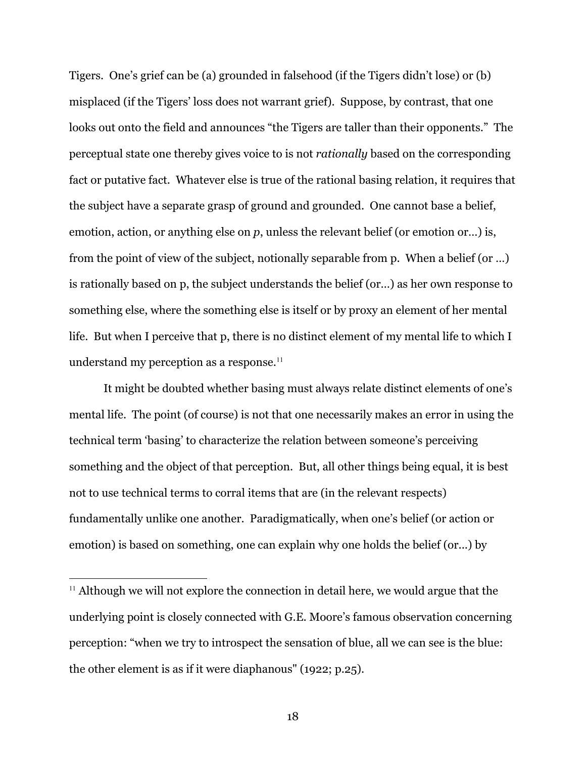Tigers. One's grief can be (a) grounded in falsehood (if the Tigers didn't lose) or (b) misplaced (if the Tigers' loss does not warrant grief). Suppose, by contrast, that one looks out onto the field and announces "the Tigers are taller than their opponents." The perceptual state one thereby gives voice to is not *rationally* based on the corresponding fact or putative fact. Whatever else is true of the rational basing relation, it requires that the subject have a separate grasp of ground and grounded. One cannot base a belief, emotion, action, or anything else on *p*, unless the relevant belief (or emotion or…) is, from the point of view of the subject, notionally separable from p. When a belief (or …) is rationally based on p, the subject understands the belief (or…) as her own response to something else, where the something else is itself or by proxy an element of her mental life. But when I perceive that p, there is no distinct element of my mental life to which I understand my perception as a response.<sup>11</sup>

It might be doubted whether basing must always relate distinct elements of one's mental life. The point (of course) is not that one necessarily makes an error in using the technical term 'basing' to characterize the relation between someone's perceiving something and the object of that perception. But, all other things being equal, it is best not to use technical terms to corral items that are (in the relevant respects) fundamentally unlike one another. Paradigmatically, when one's belief (or action or emotion) is based on something, one can explain why one holds the belief (or...) by

 $11$  Although we will not explore the connection in detail here, we would argue that the underlying point is closely connected with G.E. Moore's famous observation concerning perception: "when we try to introspect the sensation of blue, all we can see is the blue: the other element is as if it were diaphanous" (1922; p.25).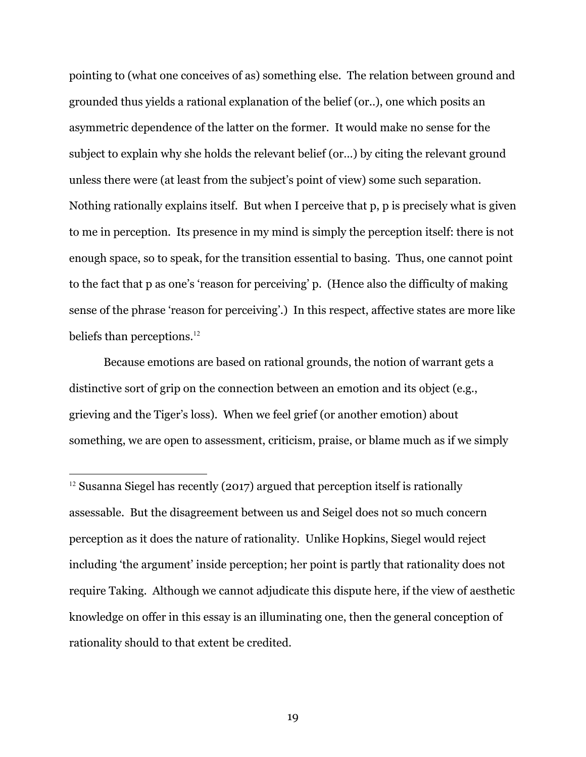pointing to (what one conceives of as) something else. The relation between ground and grounded thus yields a rational explanation of the belief (or..), one which posits an asymmetric dependence of the latter on the former. It would make no sense for the subject to explain why she holds the relevant belief (or…) by citing the relevant ground unless there were (at least from the subject's point of view) some such separation. Nothing rationally explains itself. But when I perceive that p, p is precisely what is given to me in perception. Its presence in my mind is simply the perception itself: there is not enough space, so to speak, for the transition essential to basing. Thus, one cannot point to the fact that p as one's 'reason for perceiving' p. (Hence also the difficulty of making sense of the phrase 'reason for perceiving'.) In this respect, affective states are more like beliefs than perceptions.<sup>12</sup>

Because emotions are based on rational grounds, the notion of warrant gets a distinctive sort of grip on the connection between an emotion and its object (e.g., grieving and the Tiger's loss). When we feel grief (or another emotion) about something, we are open to assessment, criticism, praise, or blame much as if we simply

 $12$  Susanna Siegel has recently (2017) argued that perception itself is rationally assessable. But the disagreement between us and Seigel does not so much concern perception as it does the nature of rationality. Unlike Hopkins, Siegel would reject including 'the argument' inside perception; her point is partly that rationality does not require Taking. Although we cannot adjudicate this dispute here, if the view of aesthetic knowledge on offer in this essay is an illuminating one, then the general conception of rationality should to that extent be credited.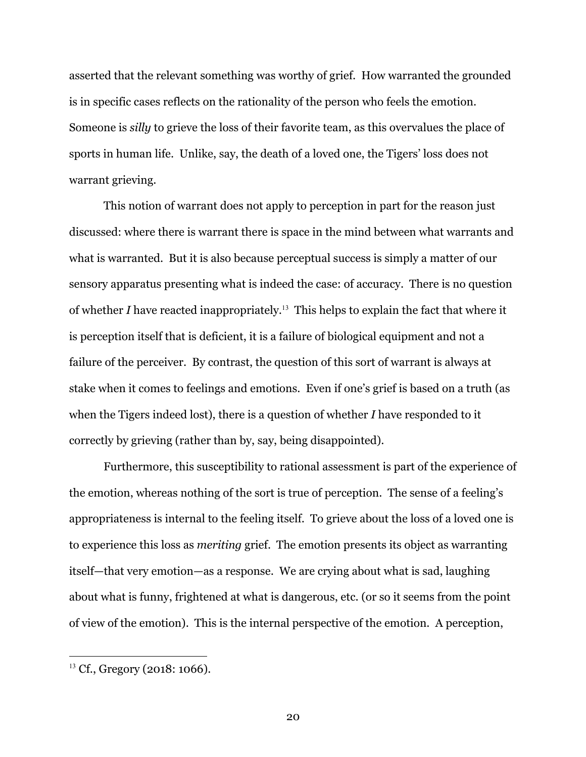asserted that the relevant something was worthy of grief. How warranted the grounded is in specific cases reflects on the rationality of the person who feels the emotion. Someone is *silly* to grieve the loss of their favorite team, as this overvalues the place of sports in human life. Unlike, say, the death of a loved one, the Tigers' loss does not warrant grieving.

This notion of warrant does not apply to perception in part for the reason just discussed: where there is warrant there is space in the mind between what warrants and what is warranted. But it is also because perceptual success is simply a matter of our sensory apparatus presenting what is indeed the case: of accuracy. There is no question of whether *I* have reacted inappropriately. <sup>13</sup> This helps to explain the fact that where it is perception itself that is deficient, it is a failure of biological equipment and not a failure of the perceiver. By contrast, the question of this sort of warrant is always at stake when it comes to feelings and emotions. Even if one's grief is based on a truth (as when the Tigers indeed lost), there is a question of whether *I* have responded to it correctly by grieving (rather than by, say, being disappointed).

Furthermore, this susceptibility to rational assessment is part of the experience of the emotion, whereas nothing of the sort is true of perception. The sense of a feeling's appropriateness is internal to the feeling itself. To grieve about the loss of a loved one is to experience this loss as *meriting* grief. The emotion presents its object as warranting itself—that very emotion—as a response. We are crying about what is sad, laughing about what is funny, frightened at what is dangerous, etc. (or so it seems from the point of view of the emotion). This is the internal perspective of the emotion. A perception,

<sup>&</sup>lt;sup>13</sup> Cf., Gregory (2018: 1066).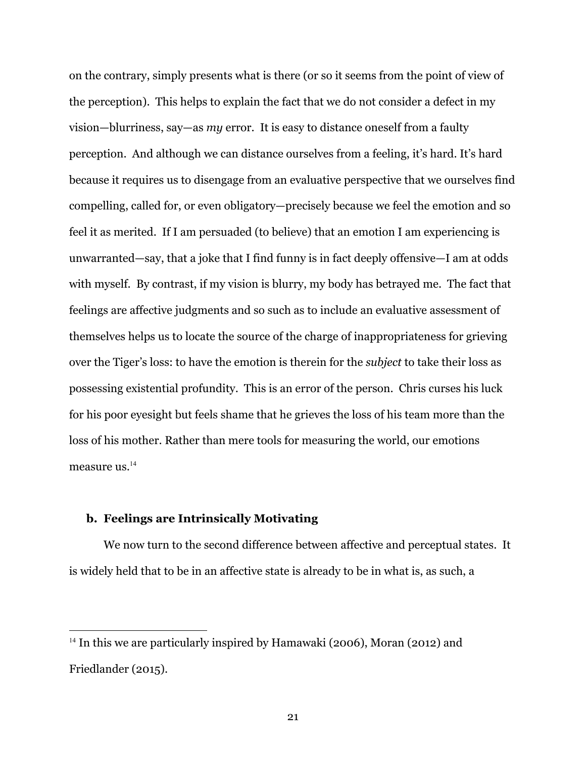on the contrary, simply presents what is there (or so it seems from the point of view of the perception). This helps to explain the fact that we do not consider a defect in my vision—blurriness, say—as *my* error. It is easy to distance oneself from a faulty perception. And although we can distance ourselves from a feeling, it's hard. It's hard because it requires us to disengage from an evaluative perspective that we ourselves find compelling, called for, or even obligatory—precisely because we feel the emotion and so feel it as merited. If I am persuaded (to believe) that an emotion I am experiencing is unwarranted—say, that a joke that I find funny is in fact deeply offensive—I am at odds with myself. By contrast, if my vision is blurry, my body has betrayed me. The fact that feelings are affective judgments and so such as to include an evaluative assessment of themselves helps us to locate the source of the charge of inappropriateness for grieving over the Tiger's loss: to have the emotion is therein for the *subject* to take their loss as possessing existential profundity. This is an error of the person. Chris curses his luck for his poor eyesight but feels shame that he grieves the loss of his team more than the loss of his mother. Rather than mere tools for measuring the world, our emotions measure us.<sup>14</sup>

# **b. Feelings are Intrinsically Motivating**

We now turn to the second difference between affective and perceptual states. It is widely held that to be in an affective state is already to be in what is, as such, a

<sup>&</sup>lt;sup>14</sup> In this we are particularly inspired by Hamawaki (2006), Moran (2012) and Friedlander (2015).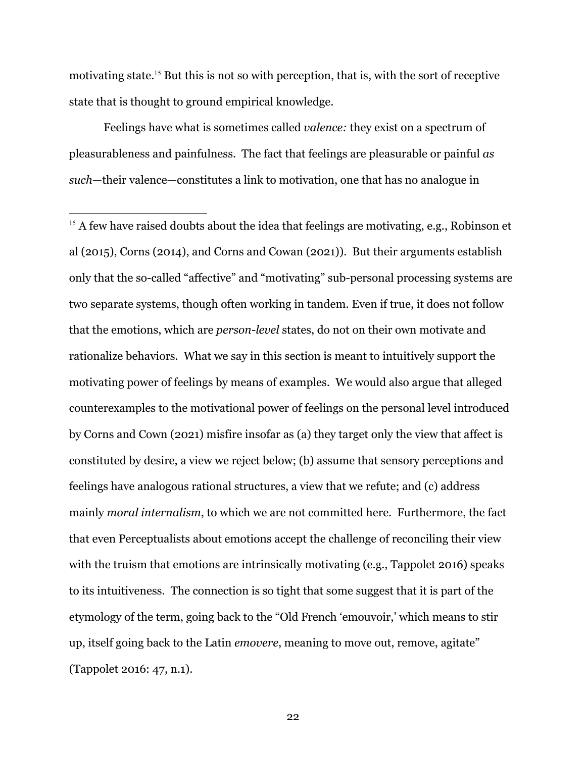motivating state. <sup>15</sup> But this is not so with perception, that is, with the sort of receptive state that is thought to ground empirical knowledge.

Feelings have what is sometimes called *valence:* they exist on a spectrum of pleasurableness and painfulness. The fact that feelings are pleasurable or painful *as such*—their valence—constitutes a link to motivation, one that has no analogue in

<sup>15</sup> A few have raised doubts about the idea that feelings are motivating, e.g., Robinson et al (2015), Corns (2014), and Corns and Cowan (2021)). But their arguments establish only that the so-called "affective" and "motivating" sub-personal processing systems are two separate systems, though often working in tandem. Even if true, it does not follow that the emotions, which are *person-level* states, do not on their own motivate and rationalize behaviors. What we say in this section is meant to intuitively support the motivating power of feelings by means of examples. We would also argue that alleged counterexamples to the motivational power of feelings on the personal level introduced by Corns and Cown (2021) misfire insofar as (a) they target only the view that affect is constituted by desire, a view we reject below; (b) assume that sensory perceptions and feelings have analogous rational structures, a view that we refute; and (c) address mainly *moral internalism*, to which we are not committed here. Furthermore, the fact that even Perceptualists about emotions accept the challenge of reconciling their view with the truism that emotions are intrinsically motivating (e.g., Tappolet 2016) speaks to its intuitiveness. The connection is so tight that some suggest that it is part of the etymology of the term, going back to the "Old French 'emouvoir,' which means to stir up, itself going back to the Latin *emovere*, meaning to move out, remove, agitate" (Tappolet 2016: 47, n.1).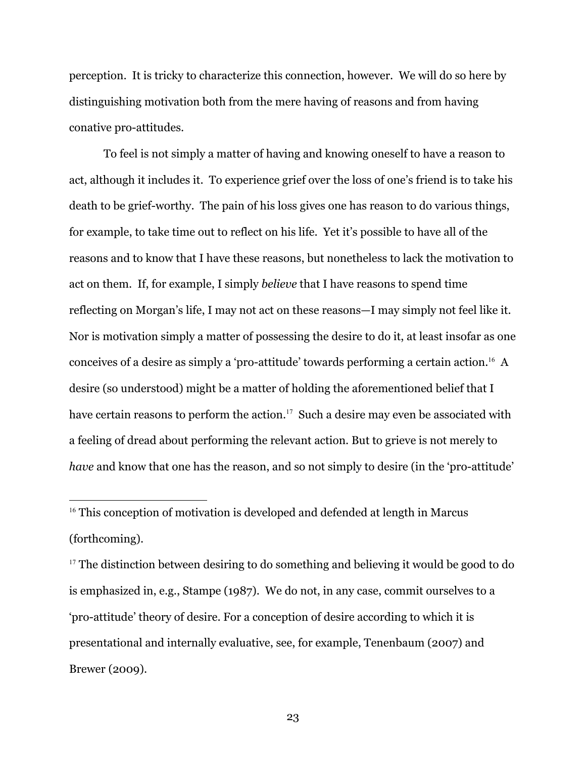perception. It is tricky to characterize this connection, however. We will do so here by distinguishing motivation both from the mere having of reasons and from having conative pro-attitudes.

To feel is not simply a matter of having and knowing oneself to have a reason to act, although it includes it. To experience grief over the loss of one's friend is to take his death to be grief-worthy. The pain of his loss gives one has reason to do various things, for example, to take time out to reflect on his life. Yet it's possible to have all of the reasons and to know that I have these reasons, but nonetheless to lack the motivation to act on them. If, for example, I simply *believe* that I have reasons to spend time reflecting on Morgan's life, I may not act on these reasons—I may simply not feel like it. Nor is motivation simply a matter of possessing the desire to do it, at least insofar as one conceives of a desire as simply a 'pro-attitude' towards performing a certain action. <sup>16</sup> A desire (so understood) might be a matter of holding the aforementioned belief that I have certain reasons to perform the action. <sup>17</sup> Such a desire may even be associated with a feeling of dread about performing the relevant action. But to grieve is not merely to *have* and know that one has the reason, and so not simply to desire (in the 'pro-attitude'

<sup>16</sup> This conception of motivation is developed and defended at length in Marcus (forthcoming).

 $17$  The distinction between desiring to do something and believing it would be good to do is emphasized in, e.g., Stampe (1987). We do not, in any case, commit ourselves to a 'pro-attitude' theory of desire. For a conception of desire according to which it is presentational and internally evaluative, see, for example, Tenenbaum (2007) and Brewer (2009).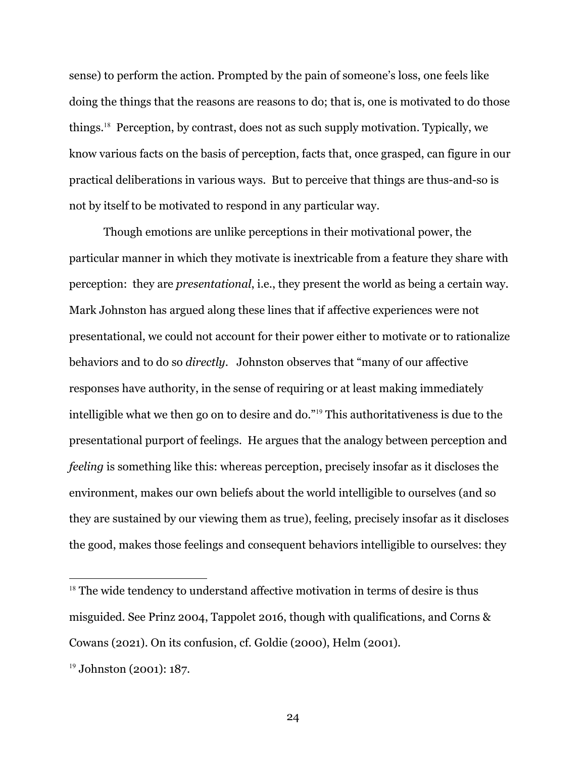sense) to perform the action. Prompted by the pain of someone's loss, one feels like doing the things that the reasons are reasons to do; that is, one is motivated to do those things. <sup>18</sup> Perception, by contrast, does not as such supply motivation. Typically, we know various facts on the basis of perception, facts that, once grasped, can figure in our practical deliberations in various ways. But to perceive that things are thus-and-so is not by itself to be motivated to respond in any particular way.

Though emotions are unlike perceptions in their motivational power, the particular manner in which they motivate is inextricable from a feature they share with perception: they are *presentational*, i.e., they present the world as being a certain way. Mark Johnston has argued along these lines that if affective experiences were not presentational, we could not account for their power either to motivate or to rationalize behaviors and to do so *directly*. Johnston observes that "many of our affective responses have authority, in the sense of requiring or at least making immediately intelligible what we then go on to desire and do."<sup>19</sup> This authoritativeness is due to the presentational purport of feelings. He argues that the analogy between perception and *feeling* is something like this: whereas perception, precisely insofar as it discloses the environment, makes our own beliefs about the world intelligible to ourselves (and so they are sustained by our viewing them as true), feeling, precisely insofar as it discloses the good, makes those feelings and consequent behaviors intelligible to ourselves: they

 $18$  The wide tendency to understand affective motivation in terms of desire is thus misguided. See Prinz 2004, Tappolet 2016, though with qualifications, and Corns & Cowans (2021). On its confusion, cf. Goldie (2000), Helm (2001).

<sup>&</sup>lt;sup>19</sup> Johnston (2001): 187.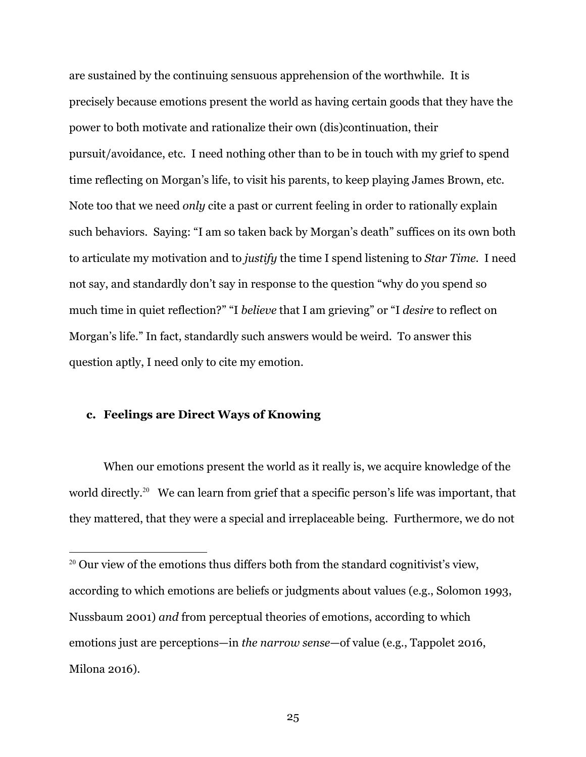are sustained by the continuing sensuous apprehension of the worthwhile. It is precisely because emotions present the world as having certain goods that they have the power to both motivate and rationalize their own (dis)continuation, their pursuit/avoidance, etc. I need nothing other than to be in touch with my grief to spend time reflecting on Morgan's life, to visit his parents, to keep playing James Brown, etc. Note too that we need *only* cite a past or current feeling in order to rationally explain such behaviors. Saying: "I am so taken back by Morgan's death" suffices on its own both to articulate my motivation and to *justify* the time I spend listening to *Star Time*. I need not say, and standardly don't say in response to the question "why do you spend so much time in quiet reflection?" "I *believe* that I am grieving" or "I *desire* to reflect on Morgan's life." In fact, standardly such answers would be weird. To answer this question aptly, I need only to cite my emotion.

#### **c. Feelings are Direct Ways of Knowing**

When our emotions present the world as it really is, we acquire knowledge of the world directly.<sup>20</sup> We can learn from grief that a specific person's life was important, that they mattered, that they were a special and irreplaceable being. Furthermore, we do not

 $20$  Our view of the emotions thus differs both from the standard cognitivist's view, according to which emotions are beliefs or judgments about values (e.g., Solomon 1993, Nussbaum 2001) *and* from perceptual theories of emotions, according to which emotions just are perceptions—in *the narrow sense*—of value (e.g., Tappolet 2016, Milona 2016).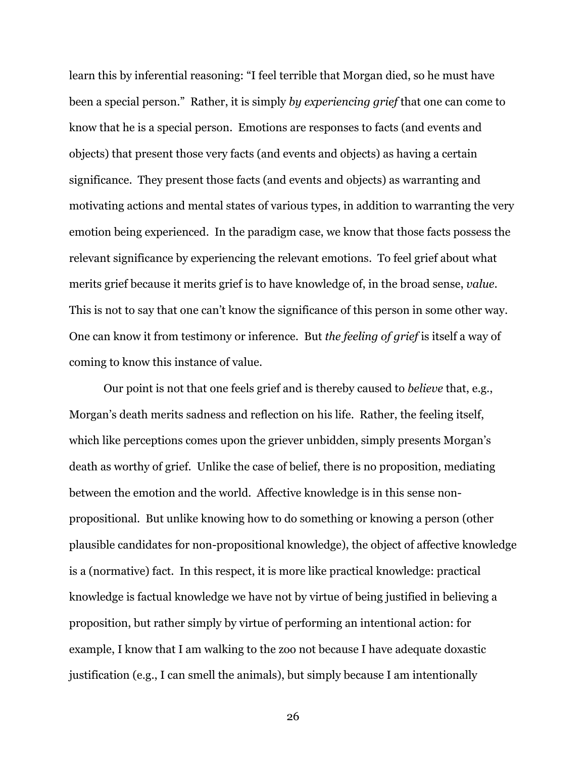learn this by inferential reasoning: "I feel terrible that Morgan died, so he must have been a special person." Rather, it is simply *by experiencing grief* that one can come to know that he is a special person. Emotions are responses to facts (and events and objects) that present those very facts (and events and objects) as having a certain significance. They present those facts (and events and objects) as warranting and motivating actions and mental states of various types, in addition to warranting the very emotion being experienced. In the paradigm case, we know that those facts possess the relevant significance by experiencing the relevant emotions. To feel grief about what merits grief because it merits grief is to have knowledge of, in the broad sense, *value*. This is not to say that one can't know the significance of this person in some other way. One can know it from testimony or inference. But *the feeling of grief* is itself a way of coming to know this instance of value.

Our point is not that one feels grief and is thereby caused to *believe* that, e.g., Morgan's death merits sadness and reflection on his life. Rather, the feeling itself, which like perceptions comes upon the griever unbidden, simply presents Morgan's death as worthy of grief. Unlike the case of belief, there is no proposition, mediating between the emotion and the world. Affective knowledge is in this sense nonpropositional. But unlike knowing how to do something or knowing a person (other plausible candidates for non-propositional knowledge), the object of affective knowledge is a (normative) fact. In this respect, it is more like practical knowledge: practical knowledge is factual knowledge we have not by virtue of being justified in believing a proposition, but rather simply by virtue of performing an intentional action: for example, I know that I am walking to the zoo not because I have adequate doxastic justification (e.g., I can smell the animals), but simply because I am intentionally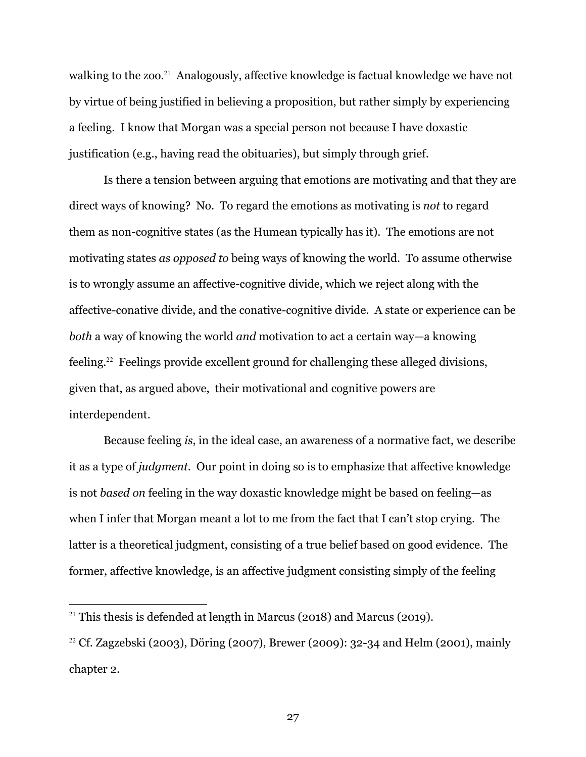walking to the zoo.<sup>21</sup> Analogously, affective knowledge is factual knowledge we have not by virtue of being justified in believing a proposition, but rather simply by experiencing a feeling. I know that Morgan was a special person not because I have doxastic justification (e.g., having read the obituaries), but simply through grief.

Is there a tension between arguing that emotions are motivating and that they are direct ways of knowing? No. To regard the emotions as motivating is *not* to regard them as non-cognitive states (as the Humean typically has it). The emotions are not motivating states *as opposed to* being ways of knowing the world. To assume otherwise is to wrongly assume an affective-cognitive divide, which we reject along with the affective-conative divide, and the conative-cognitive divide. A state or experience can be *both* a way of knowing the world *and* motivation to act a certain way—a knowing feeling. <sup>22</sup> Feelings provide excellent ground for challenging these alleged divisions, given that, as argued above, their motivational and cognitive powers are interdependent.

Because feeling *is*, in the ideal case, an awareness of a normative fact, we describe it as a type of *judgment*. Our point in doing so is to emphasize that affective knowledge is not *based on* feeling in the way doxastic knowledge might be based on feeling—as when I infer that Morgan meant a lot to me from the fact that I can't stop crying. The latter is a theoretical judgment, consisting of a true belief based on good evidence. The former, affective knowledge, is an affective judgment consisting simply of the feeling

<sup>&</sup>lt;sup>21</sup> This thesis is defended at length in Marcus (2018) and Marcus (2019).

<sup>&</sup>lt;sup>22</sup> Cf. Zagzebski (2003), Döring (2007), Brewer (2009): 32-34 and Helm (2001), mainly chapter 2.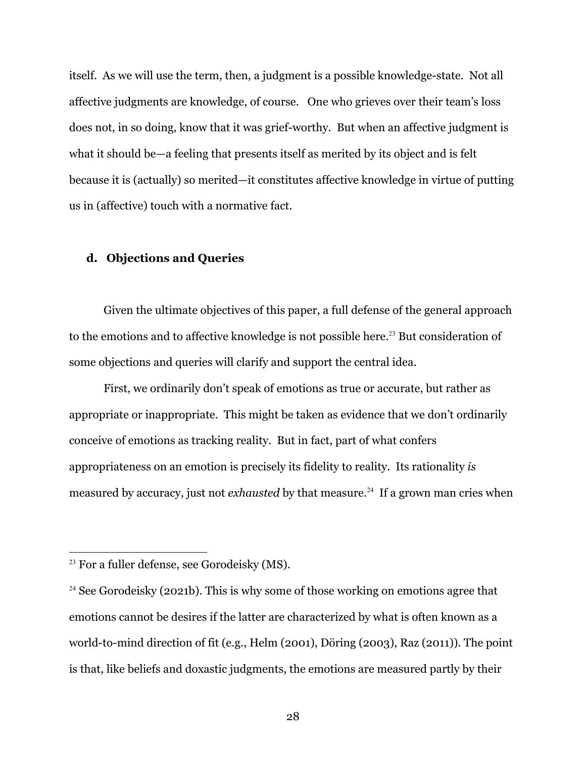itself. As we will use the term, then, a judgment is a possible knowledge-state. Not all affective judgments are knowledge, of course. One who grieves over their team's loss does not, in so doing, know that it was grief-worthy. But when an affective judgment is what it should be—a feeling that presents itself as merited by its object and is felt because it is (actually) so merited—it constitutes affective knowledge in virtue of putting us in (affective) touch with a normative fact.

# **d. Objections and Queries**

Given the ultimate objectives of this paper, a full defense of the general approach to the emotions and to affective knowledge is not possible here.<sup>23</sup> But consideration of some objections and queries will clarify and support the central idea.

First, we ordinarily don't speak of emotions as true or accurate, but rather as appropriate or inappropriate. This might be taken as evidence that we don't ordinarily conceive of emotions as tracking reality. But in fact, part of what confers appropriateness on an emotion is precisely its fidelity to reality. Its rationality *is* measured by accuracy, just not *exhausted* by that measure.<sup>24</sup> If a grown man cries when

<sup>&</sup>lt;sup>23</sup> For a fuller defense, see Gorodeisky (MS).

<sup>&</sup>lt;sup>24</sup> See Gorodeisky (2021b). This is why some of those working on emotions agree that emotions cannot be desires if the latter are characterized by what is often known as a world-to-mind direction of fit (e.g., Helm (2001), Döring (2003), Raz (2011)). The point is that, like beliefs and doxastic judgments, the emotions are measured partly by their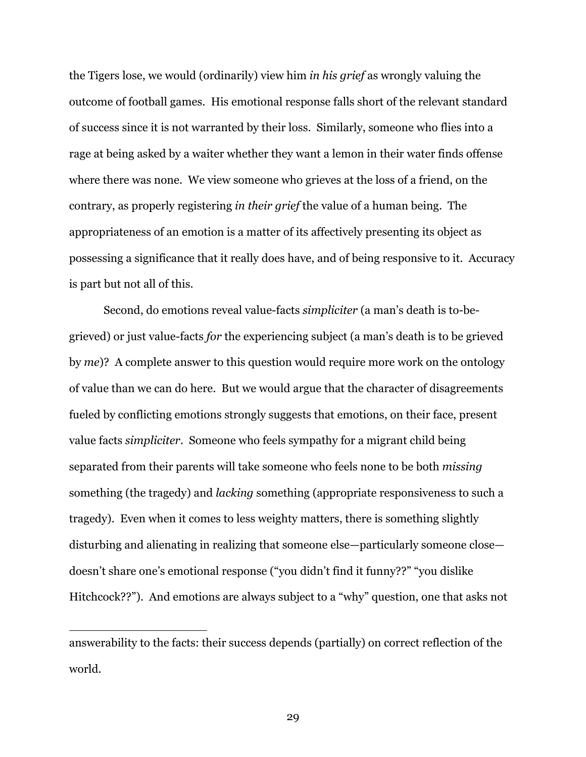the Tigers lose, we would (ordinarily) view him *in his grief* as wrongly valuing the outcome of football games. His emotional response falls short of the relevant standard of success since it is not warranted by their loss. Similarly, someone who flies into a rage at being asked by a waiter whether they want a lemon in their water finds offense where there was none. We view someone who grieves at the loss of a friend, on the contrary, as properly registering *in their grief* the value of a human being. The appropriateness of an emotion is a matter of its affectively presenting its object as possessing a significance that it really does have, and of being responsive to it. Accuracy is part but not all of this.

Second, do emotions reveal value-facts *simpliciter* (a man's death is to-begrieved) or just value-facts *for* the experiencing subject (a man's death is to be grieved by *me*)? A complete answer to this question would require more work on the ontology of value than we can do here. But we would argue that the character of disagreements fueled by conflicting emotions strongly suggests that emotions, on their face, present value facts *simpliciter*. Someone who feels sympathy for a migrant child being separated from their parents will take someone who feels none to be both *missing* something (the tragedy) and *lacking* something (appropriate responsiveness to such a tragedy). Even when it comes to less weighty matters, there is something slightly disturbing and alienating in realizing that someone else—particularly someone close doesn't share one's emotional response ("you didn't find it funny??" "you dislike Hitchcock??"). And emotions are always subject to a "why" question, one that asks not

answerability to the facts: their success depends (partially) on correct reflection of the world.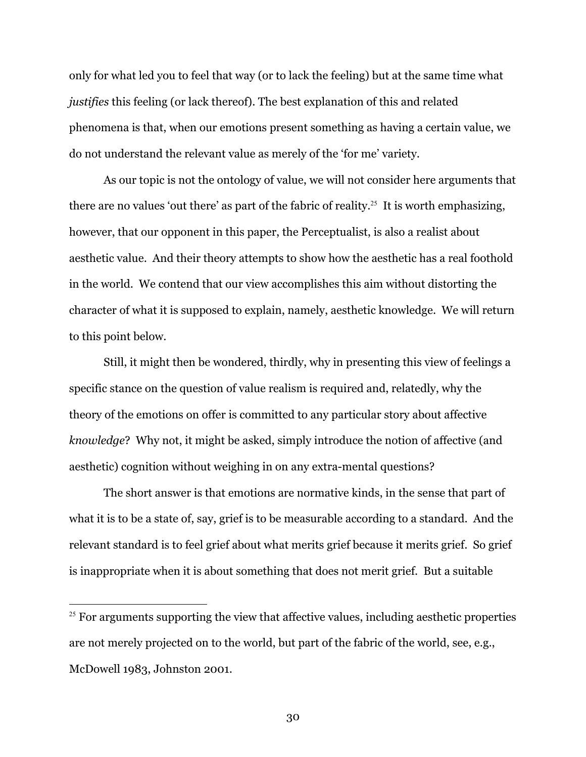only for what led you to feel that way (or to lack the feeling) but at the same time what *justifies* this feeling (or lack thereof). The best explanation of this and related phenomena is that, when our emotions present something as having a certain value, we do not understand the relevant value as merely of the 'for me' variety.

As our topic is not the ontology of value, we will not consider here arguments that there are no values 'out there' as part of the fabric of reality.<sup>25</sup> It is worth emphasizing, however, that our opponent in this paper, the Perceptualist, is also a realist about aesthetic value. And their theory attempts to show how the aesthetic has a real foothold in the world. We contend that our view accomplishes this aim without distorting the character of what it is supposed to explain, namely, aesthetic knowledge. We will return to this point below.

Still, it might then be wondered, thirdly, why in presenting this view of feelings a specific stance on the question of value realism is required and, relatedly, why the theory of the emotions on offer is committed to any particular story about affective *knowledge*? Why not, it might be asked, simply introduce the notion of affective (and aesthetic) cognition without weighing in on any extra-mental questions?

The short answer is that emotions are normative kinds, in the sense that part of what it is to be a state of, say, grief is to be measurable according to a standard. And the relevant standard is to feel grief about what merits grief because it merits grief. So grief is inappropriate when it is about something that does not merit grief. But a suitable

 $25$  For arguments supporting the view that affective values, including aesthetic properties are not merely projected on to the world, but part of the fabric of the world, see, e.g., McDowell 1983, Johnston 2001.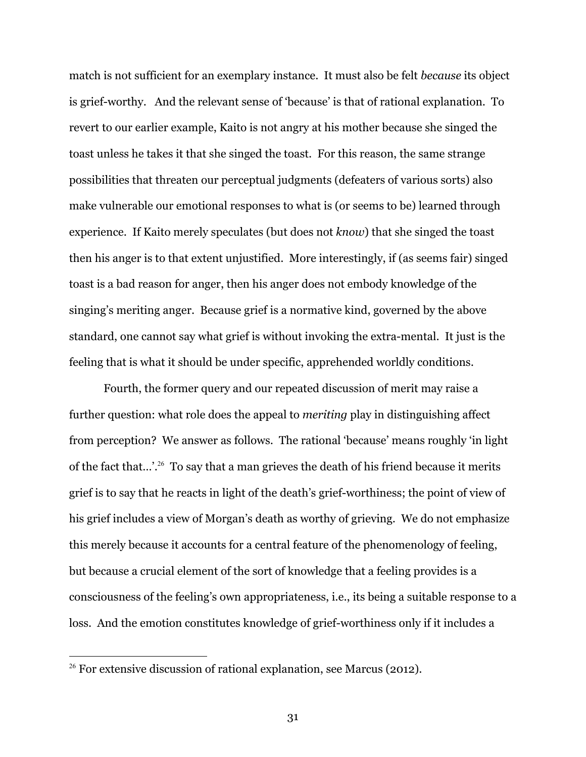match is not sufficient for an exemplary instance. It must also be felt *because* its object is grief-worthy. And the relevant sense of 'because' is that of rational explanation. To revert to our earlier example, Kaito is not angry at his mother because she singed the toast unless he takes it that she singed the toast. For this reason, the same strange possibilities that threaten our perceptual judgments (defeaters of various sorts) also make vulnerable our emotional responses to what is (or seems to be) learned through experience. If Kaito merely speculates (but does not *know*) that she singed the toast then his anger is to that extent unjustified. More interestingly, if (as seems fair) singed toast is a bad reason for anger, then his anger does not embody knowledge of the singing's meriting anger. Because grief is a normative kind, governed by the above standard, one cannot say what grief is without invoking the extra-mental. It just is the feeling that is what it should be under specific, apprehended worldly conditions.

Fourth, the former query and our repeated discussion of merit may raise a further question: what role does the appeal to *meriting* play in distinguishing affect from perception? We answer as follows. The rational 'because' means roughly 'in light of the fact that...'.<sup>26</sup> To say that a man grieves the death of his friend because it merits grief is to say that he reacts in light of the death's grief-worthiness; the point of view of his grief includes a view of Morgan's death as worthy of grieving. We do not emphasize this merely because it accounts for a central feature of the phenomenology of feeling, but because a crucial element of the sort of knowledge that a feeling provides is a consciousness of the feeling's own appropriateness, i.e., its being a suitable response to a loss. And the emotion constitutes knowledge of grief-worthiness only if it includes a

<sup>&</sup>lt;sup>26</sup> For extensive discussion of rational explanation, see Marcus (2012).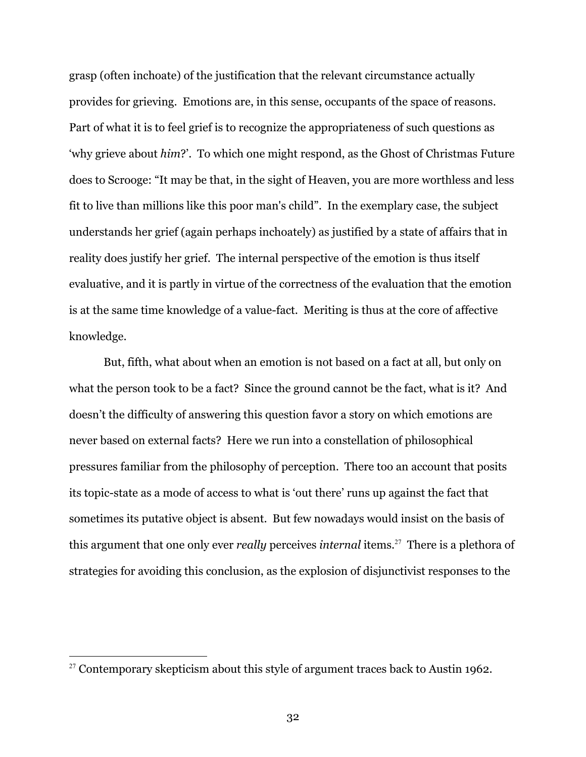grasp (often inchoate) of the justification that the relevant circumstance actually provides for grieving. Emotions are, in this sense, occupants of the space of reasons. Part of what it is to feel grief is to recognize the appropriateness of such questions as 'why grieve about *him*?'. To which one might respond, as the Ghost of Christmas Future does to Scrooge: "It may be that, in the sight of Heaven, you are more worthless and less fit to live than millions like this poor man's child". In the exemplary case, the subject understands her grief (again perhaps inchoately) as justified by a state of affairs that in reality does justify her grief. The internal perspective of the emotion is thus itself evaluative, and it is partly in virtue of the correctness of the evaluation that the emotion is at the same time knowledge of a value-fact. Meriting is thus at the core of affective knowledge.

But, fifth, what about when an emotion is not based on a fact at all, but only on what the person took to be a fact? Since the ground cannot be the fact, what is it? And doesn't the difficulty of answering this question favor a story on which emotions are never based on external facts? Here we run into a constellation of philosophical pressures familiar from the philosophy of perception. There too an account that posits its topic-state as a mode of access to what is 'out there' runs up against the fact that sometimes its putative object is absent. But few nowadays would insist on the basis of this argument that one only ever *really* perceives *internal* items.<sup>27</sup> There is a plethora of strategies for avoiding this conclusion, as the explosion of disjunctivist responses to the

<sup>&</sup>lt;sup>27</sup> Contemporary skepticism about this style of argument traces back to Austin 1962.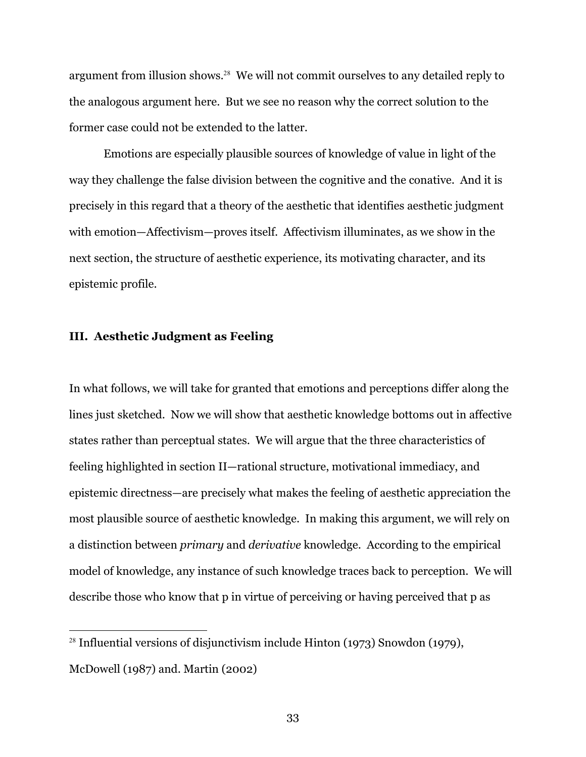argument from illusion shows.<sup>28</sup> We will not commit ourselves to any detailed reply to the analogous argument here. But we see no reason why the correct solution to the former case could not be extended to the latter.

Emotions are especially plausible sources of knowledge of value in light of the way they challenge the false division between the cognitive and the conative. And it is precisely in this regard that a theory of the aesthetic that identifies aesthetic judgment with emotion—Affectivism—proves itself. Affectivism illuminates, as we show in the next section, the structure of aesthetic experience, its motivating character, and its epistemic profile.

# **III. Aesthetic Judgment as Feeling**

In what follows, we will take for granted that emotions and perceptions differ along the lines just sketched. Now we will show that aesthetic knowledge bottoms out in affective states rather than perceptual states. We will argue that the three characteristics of feeling highlighted in section II—rational structure, motivational immediacy, and epistemic directness—are precisely what makes the feeling of aesthetic appreciation the most plausible source of aesthetic knowledge. In making this argument, we will rely on a distinction between *primary* and *derivative* knowledge. According to the empirical model of knowledge, any instance of such knowledge traces back to perception. We will describe those who know that p in virtue of perceiving or having perceived that p as

<sup>&</sup>lt;sup>28</sup> Influential versions of disjunctivism include Hinton (1973) Snowdon (1979), McDowell (1987) and. Martin (2002)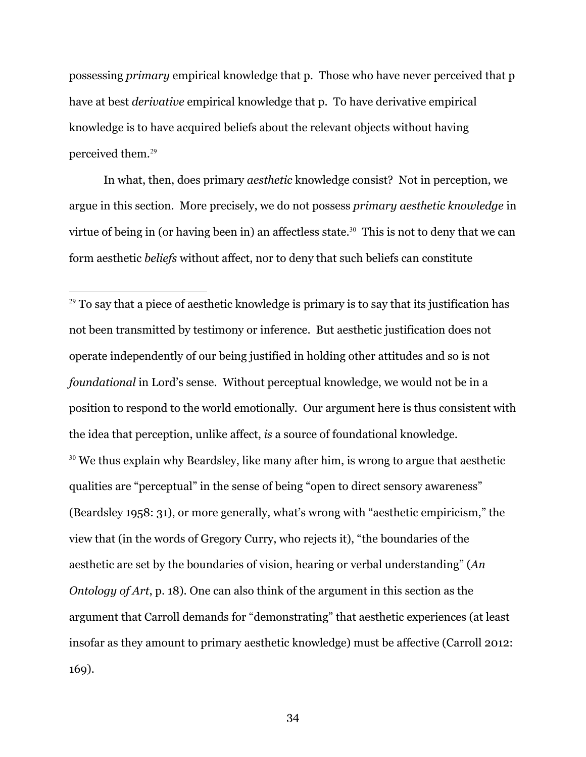possessing *primary* empirical knowledge that p. Those who have never perceived that p have at best *derivative* empirical knowledge that p. To have derivative empirical knowledge is to have acquired beliefs about the relevant objects without having perceived them.<sup>29</sup>

In what, then, does primary *aesthetic* knowledge consist? Not in perception, we argue in this section. More precisely, we do not possess *primary aesthetic knowledge* in virtue of being in (or having been in) an affectless state.<sup>30</sup> This is not to deny that we can form aesthetic *beliefs* without affect, nor to deny that such beliefs can constitute

 $29$  To say that a piece of aesthetic knowledge is primary is to say that its justification has not been transmitted by testimony or inference. But aesthetic justification does not operate independently of our being justified in holding other attitudes and so is not *foundational* in Lord's sense. Without perceptual knowledge, we would not be in a position to respond to the world emotionally. Our argument here is thus consistent with the idea that perception, unlike affect, *is* a source of foundational knowledge. <sup>30</sup> We thus explain why Beardsley, like many after him, is wrong to argue that aesthetic qualities are "perceptual" in the sense of being "open to direct sensory awareness" (Beardsley 1958: 31), or more generally, what's wrong with "aesthetic empiricism," the view that (in the words of Gregory Curry, who rejects it), "the boundaries of the aesthetic are set by the boundaries of vision, hearing or verbal understanding" (*An Ontology of Art*, p. 18). One can also think of the argument in this section as the argument that Carroll demands for "demonstrating" that aesthetic experiences (at least insofar as they amount to primary aesthetic knowledge) must be affective (Carroll 2012: 169).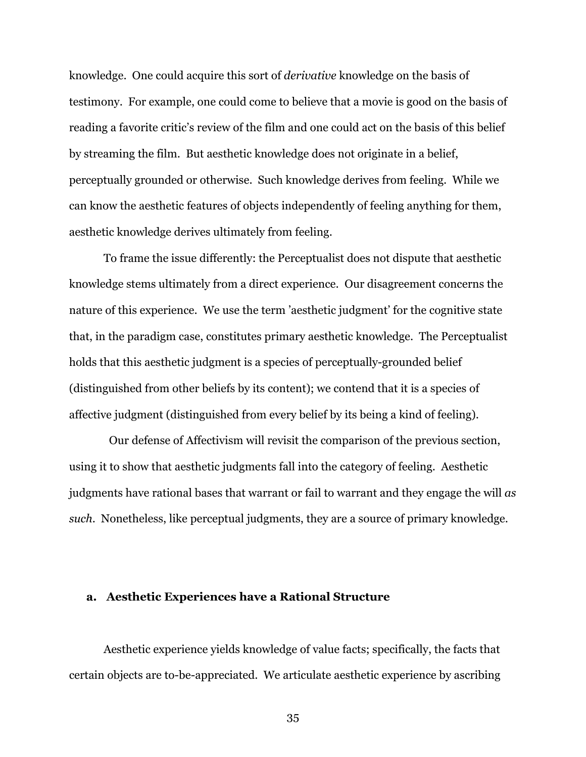knowledge. One could acquire this sort of *derivative* knowledge on the basis of testimony. For example, one could come to believe that a movie is good on the basis of reading a favorite critic's review of the film and one could act on the basis of this belief by streaming the film. But aesthetic knowledge does not originate in a belief, perceptually grounded or otherwise. Such knowledge derives from feeling. While we can know the aesthetic features of objects independently of feeling anything for them, aesthetic knowledge derives ultimately from feeling.

To frame the issue differently: the Perceptualist does not dispute that aesthetic knowledge stems ultimately from a direct experience. Our disagreement concerns the nature of this experience. We use the term 'aesthetic judgment' for the cognitive state that, in the paradigm case, constitutes primary aesthetic knowledge. The Perceptualist holds that this aesthetic judgment is a species of perceptually-grounded belief (distinguished from other beliefs by its content); we contend that it is a species of affective judgment (distinguished from every belief by its being a kind of feeling).

 Our defense of Affectivism will revisit the comparison of the previous section, using it to show that aesthetic judgments fall into the category of feeling. Aesthetic judgments have rational bases that warrant or fail to warrant and they engage the will *as such*. Nonetheless, like perceptual judgments, they are a source of primary knowledge.

#### **a. Aesthetic Experiences have a Rational Structure**

Aesthetic experience yields knowledge of value facts; specifically, the facts that certain objects are to-be-appreciated. We articulate aesthetic experience by ascribing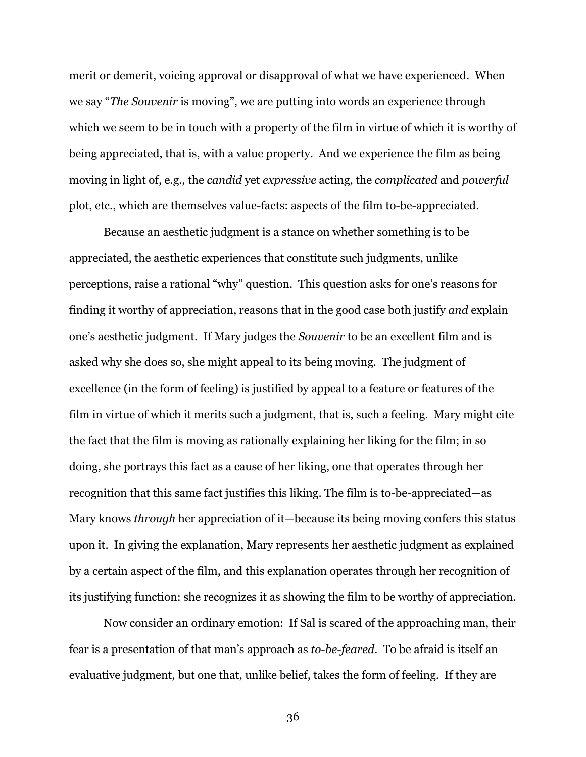merit or demerit, voicing approval or disapproval of what we have experienced. When we say "*The Souvenir* is moving", we are putting into words an experience through which we seem to be in touch with a property of the film in virtue of which it is worthy of being appreciated, that is, with a value property. And we experience the film as being moving in light of, e.g., the *candid* yet *expressive* acting, the *complicated* and *powerful* plot, etc., which are themselves value-facts: aspects of the film to-be-appreciated.

Because an aesthetic judgment is a stance on whether something is to be appreciated, the aesthetic experiences that constitute such judgments, unlike perceptions, raise a rational "why" question. This question asks for one's reasons for finding it worthy of appreciation, reasons that in the good case both justify *and* explain one's aesthetic judgment. If Mary judges the *Souvenir* to be an excellent film and is asked why she does so, she might appeal to its being moving. The judgment of excellence (in the form of feeling) is justified by appeal to a feature or features of the film in virtue of which it merits such a judgment, that is, such a feeling. Mary might cite the fact that the film is moving as rationally explaining her liking for the film; in so doing, she portrays this fact as a cause of her liking, one that operates through her recognition that this same fact justifies this liking. The film is to-be-appreciated—as Mary knows *through* her appreciation of it—because its being moving confers this status upon it. In giving the explanation, Mary represents her aesthetic judgment as explained by a certain aspect of the film, and this explanation operates through her recognition of its justifying function: she recognizes it as showing the film to be worthy of appreciation.

Now consider an ordinary emotion: If Sal is scared of the approaching man, their fear is a presentation of that man's approach as *to-be-feared.* To be afraid is itself an evaluative judgment, but one that, unlike belief, takes the form of feeling. If they are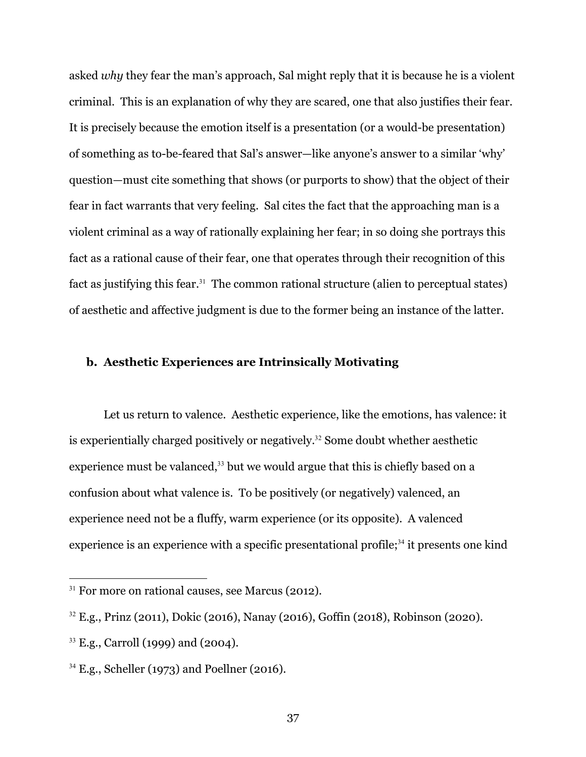asked *why* they fear the man's approach, Sal might reply that it is because he is a violent criminal. This is an explanation of why they are scared, one that also justifies their fear. It is precisely because the emotion itself is a presentation (or a would-be presentation) of something as to-be-feared that Sal's answer—like anyone's answer to a similar 'why' question—must cite something that shows (or purports to show) that the object of their fear in fact warrants that very feeling. Sal cites the fact that the approaching man is a violent criminal as a way of rationally explaining her fear; in so doing she portrays this fact as a rational cause of their fear, one that operates through their recognition of this fact as justifying this fear.<sup>31</sup> The common rational structure (alien to perceptual states) of aesthetic and affective judgment is due to the former being an instance of the latter.

# **b. Aesthetic Experiences are Intrinsically Motivating**

Let us return to valence. Aesthetic experience, like the emotions, has valence: it is experientially charged positively or negatively. <sup>32</sup> Some doubt whether aesthetic experience must be valanced, $33$  but we would argue that this is chiefly based on a confusion about what valence is. To be positively (or negatively) valenced, an experience need not be a fluffy, warm experience (or its opposite). A valenced experience is an experience with a specific presentational profile;<sup>34</sup> it presents one kind

 $31$  For more on rational causes, see Marcus (2012).

<sup>32</sup> E.g., Prinz (2011), Dokic (2016), Nanay (2016), Goffin (2018), Robinson (2020).

<sup>&</sup>lt;sup>33</sup> E.g., Carroll (1999) and (2004).

<sup>34</sup> E.g., Scheller (1973) and Poellner (2016).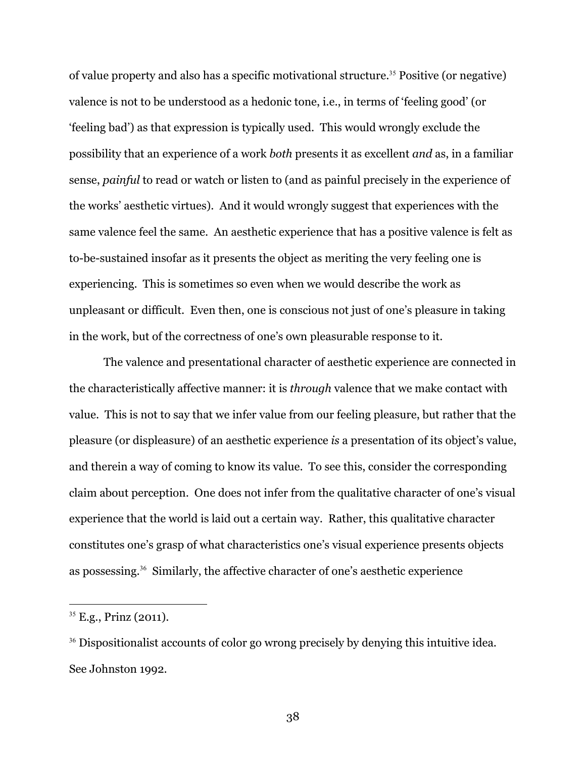of value property and also has a specific motivational structure. <sup>35</sup> Positive (or negative) valence is not to be understood as a hedonic tone, i.e., in terms of 'feeling good' (or 'feeling bad') as that expression is typically used. This would wrongly exclude the possibility that an experience of a work *both* presents it as excellent *and* as, in a familiar sense, *painful* to read or watch or listen to (and as painful precisely in the experience of the works' aesthetic virtues). And it would wrongly suggest that experiences with the same valence feel the same. An aesthetic experience that has a positive valence is felt as to-be-sustained insofar as it presents the object as meriting the very feeling one is experiencing. This is sometimes so even when we would describe the work as unpleasant or difficult. Even then, one is conscious not just of one's pleasure in taking in the work, but of the correctness of one's own pleasurable response to it.

The valence and presentational character of aesthetic experience are connected in the characteristically affective manner: it is *through* valence that we make contact with value. This is not to say that we infer value from our feeling pleasure, but rather that the pleasure (or displeasure) of an aesthetic experience *is* a presentation of its object's value, and therein a way of coming to know its value. To see this, consider the corresponding claim about perception. One does not infer from the qualitative character of one's visual experience that the world is laid out a certain way. Rather, this qualitative character constitutes one's grasp of what characteristics one's visual experience presents objects as possessing.<sup>36</sup> Similarly, the affective character of one's aesthetic experience

 $35$  E.g., Prinz (2011).

<sup>&</sup>lt;sup>36</sup> Dispositionalist accounts of color go wrong precisely by denying this intuitive idea. See Johnston 1992.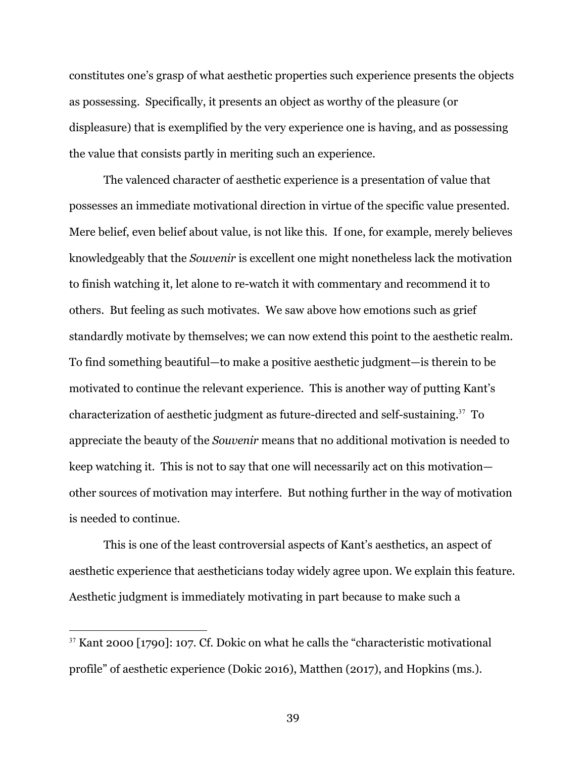constitutes one's grasp of what aesthetic properties such experience presents the objects as possessing. Specifically, it presents an object as worthy of the pleasure (or displeasure) that is exemplified by the very experience one is having, and as possessing the value that consists partly in meriting such an experience.

The valenced character of aesthetic experience is a presentation of value that possesses an immediate motivational direction in virtue of the specific value presented. Mere belief, even belief about value, is not like this. If one, for example, merely believes knowledgeably that the *Souvenir* is excellent one might nonetheless lack the motivation to finish watching it, let alone to re-watch it with commentary and recommend it to others. But feeling as such motivates. We saw above how emotions such as grief standardly motivate by themselves; we can now extend this point to the aesthetic realm. To find something beautiful—to make a positive aesthetic judgment—is therein to be motivated to continue the relevant experience. This is another way of putting Kant's characterization of aesthetic judgment as future-directed and self-sustaining.<sup>37</sup> To appreciate the beauty of the *Souvenir* means that no additional motivation is needed to keep watching it. This is not to say that one will necessarily act on this motivation other sources of motivation may interfere. But nothing further in the way of motivation is needed to continue.

This is one of the least controversial aspects of Kant's aesthetics, an aspect of aesthetic experience that aestheticians today widely agree upon. We explain this feature. Aesthetic judgment is immediately motivating in part because to make such a

<sup>&</sup>lt;sup>37</sup> Kant 2000 [1790]: 107. Cf. Dokic on what he calls the "characteristic motivational profile" of aesthetic experience (Dokic 2016), Matthen (2017), and Hopkins (ms.).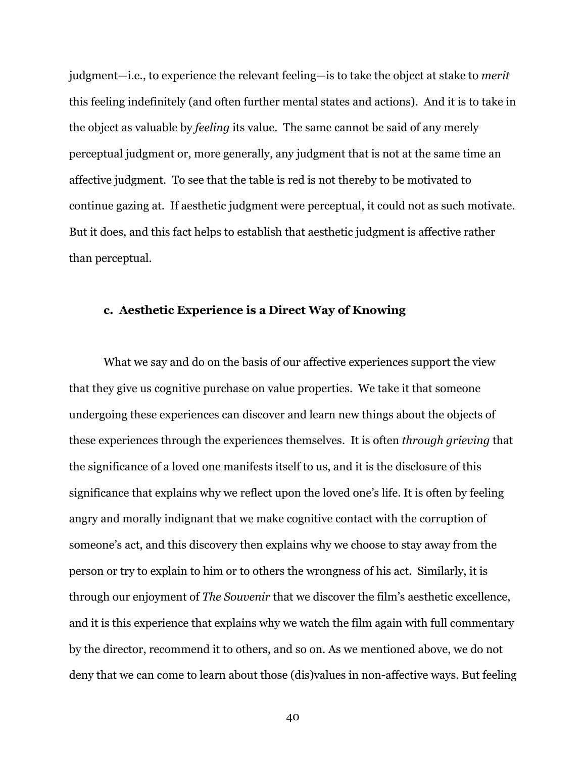judgment—i.e., to experience the relevant feeling—is to take the object at stake to *merit* this feeling indefinitely (and often further mental states and actions). And it is to take in the object as valuable by *feeling* its value. The same cannot be said of any merely perceptual judgment or, more generally, any judgment that is not at the same time an affective judgment. To see that the table is red is not thereby to be motivated to continue gazing at. If aesthetic judgment were perceptual, it could not as such motivate. But it does, and this fact helps to establish that aesthetic judgment is affective rather than perceptual.

#### **c. Aesthetic Experience is a Direct Way of Knowing**

What we say and do on the basis of our affective experiences support the view that they give us cognitive purchase on value properties. We take it that someone undergoing these experiences can discover and learn new things about the objects of these experiences through the experiences themselves. It is often *through grieving* that the significance of a loved one manifests itself to us, and it is the disclosure of this significance that explains why we reflect upon the loved one's life. It is often by feeling angry and morally indignant that we make cognitive contact with the corruption of someone's act, and this discovery then explains why we choose to stay away from the person or try to explain to him or to others the wrongness of his act. Similarly, it is through our enjoyment of *The Souvenir* that we discover the film's aesthetic excellence, and it is this experience that explains why we watch the film again with full commentary by the director, recommend it to others, and so on. As we mentioned above, we do not deny that we can come to learn about those (dis)values in non-affective ways. But feeling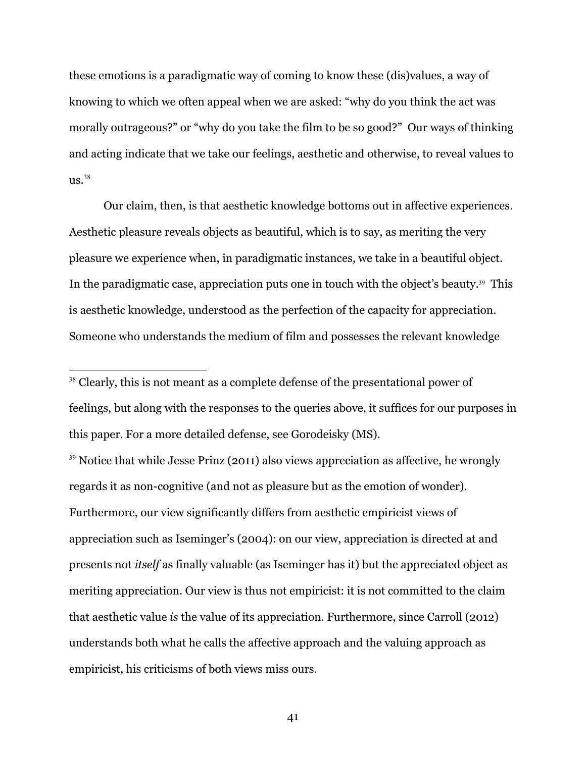these emotions is a paradigmatic way of coming to know these (dis)values, a way of knowing to which we often appeal when we are asked: "why do you think the act was morally outrageous?" or "why do you take the film to be so good?" Our ways of thinking and acting indicate that we take our feelings, aesthetic and otherwise, to reveal values to  $\text{us.}^{38}$ 

Our claim, then, is that aesthetic knowledge bottoms out in affective experiences. Aesthetic pleasure reveals objects as beautiful, which is to say, as meriting the very pleasure we experience when, in paradigmatic instances, we take in a beautiful object. In the paradigmatic case, appreciation puts one in touch with the object's beauty.<sup>39</sup> This is aesthetic knowledge, understood as the perfection of the capacity for appreciation. Someone who understands the medium of film and possesses the relevant knowledge

<sup>39</sup> Notice that while Jesse Prinz (2011) also views appreciation as affective, he wrongly regards it as non-cognitive (and not as pleasure but as the emotion of wonder). Furthermore, our view significantly differs from aesthetic empiricist views of appreciation such as Iseminger's (2004): on our view, appreciation is directed at and presents not *itself* as finally valuable (as Iseminger has it) but the appreciated object as meriting appreciation. Our view is thus not empiricist: it is not committed to the claim that aesthetic value *is* the value of its appreciation. Furthermore, since Carroll (2012) understands both what he calls the affective approach and the valuing approach as empiricist, his criticisms of both views miss ours.

<sup>&</sup>lt;sup>38</sup> Clearly, this is not meant as a complete defense of the presentational power of feelings, but along with the responses to the queries above, it suffices for our purposes in this paper. For a more detailed defense, see Gorodeisky (MS).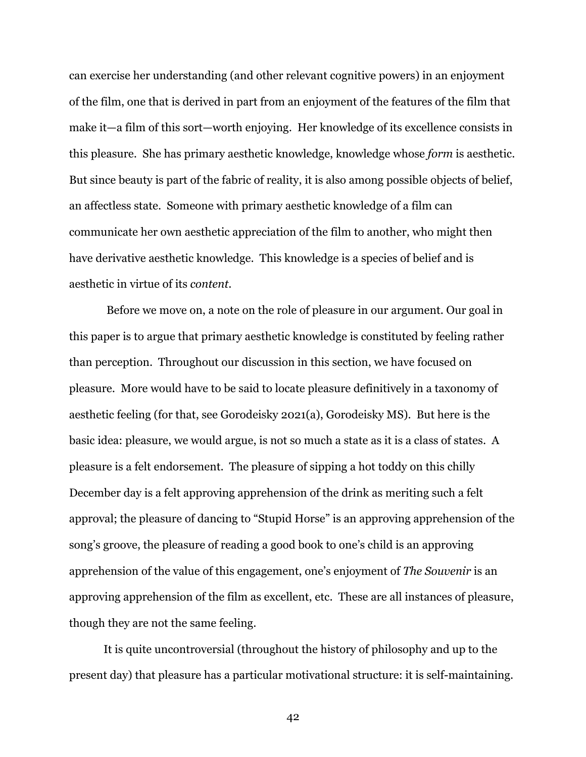can exercise her understanding (and other relevant cognitive powers) in an enjoyment of the film, one that is derived in part from an enjoyment of the features of the film that make it—a film of this sort—worth enjoying. Her knowledge of its excellence consists in this pleasure. She has primary aesthetic knowledge, knowledge whose *form* is aesthetic. But since beauty is part of the fabric of reality, it is also among possible objects of belief, an affectless state. Someone with primary aesthetic knowledge of a film can communicate her own aesthetic appreciation of the film to another, who might then have derivative aesthetic knowledge. This knowledge is a species of belief and is aesthetic in virtue of its *content*.

Before we move on, a note on the role of pleasure in our argument. Our goal in this paper is to argue that primary aesthetic knowledge is constituted by feeling rather than perception. Throughout our discussion in this section, we have focused on pleasure. More would have to be said to locate pleasure definitively in a taxonomy of aesthetic feeling (for that, see Gorodeisky 2021(a), Gorodeisky MS). But here is the basic idea: pleasure, we would argue, is not so much a state as it is a class of states. A pleasure is a felt endorsement. The pleasure of sipping a hot toddy on this chilly December day is a felt approving apprehension of the drink as meriting such a felt approval; the pleasure of dancing to "Stupid Horse" is an approving apprehension of the song's groove, the pleasure of reading a good book to one's child is an approving apprehension of the value of this engagement, one's enjoyment of *The Souvenir* is an approving apprehension of the film as excellent, etc. These are all instances of pleasure, though they are not the same feeling.

It is quite uncontroversial (throughout the history of philosophy and up to the present day) that pleasure has a particular motivational structure: it is self-maintaining.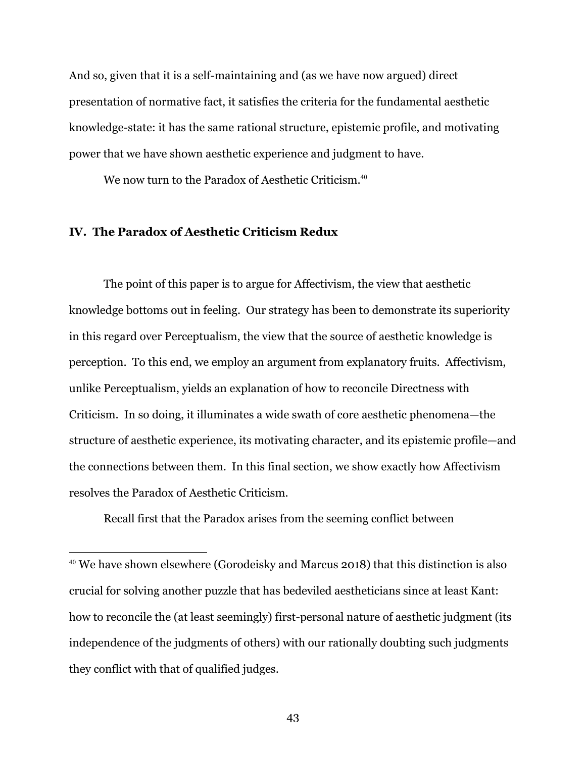And so, given that it is a self-maintaining and (as we have now argued) direct presentation of normative fact, it satisfies the criteria for the fundamental aesthetic knowledge-state: it has the same rational structure, epistemic profile, and motivating power that we have shown aesthetic experience and judgment to have.

We now turn to the Paradox of Aesthetic Criticism.<sup>40</sup>

# **IV. The Paradox of Aesthetic Criticism Redux**

The point of this paper is to argue for Affectivism, the view that aesthetic knowledge bottoms out in feeling. Our strategy has been to demonstrate its superiority in this regard over Perceptualism, the view that the source of aesthetic knowledge is perception. To this end, we employ an argument from explanatory fruits. Affectivism, unlike Perceptualism, yields an explanation of how to reconcile Directness with Criticism. In so doing, it illuminates a wide swath of core aesthetic phenomena—the structure of aesthetic experience, its motivating character, and its epistemic profile—and the connections between them. In this final section, we show exactly how Affectivism resolves the Paradox of Aesthetic Criticism.

Recall first that the Paradox arises from the seeming conflict between

<sup>40</sup> We have shown elsewhere (Gorodeisky and Marcus 2018) that this distinction is also crucial for solving another puzzle that has bedeviled aestheticians since at least Kant: how to reconcile the (at least seemingly) first-personal nature of aesthetic judgment (its independence of the judgments of others) with our rationally doubting such judgments they conflict with that of qualified judges.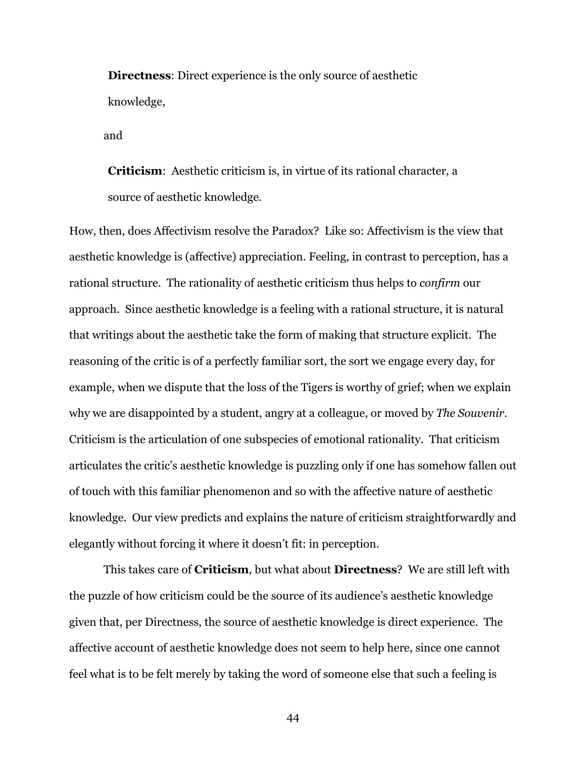**Directness**: Direct experience is the only source of aesthetic knowledge,

and

**Criticism**: Aesthetic criticism is, in virtue of its rational character, a source of aesthetic knowledge.

How, then, does Affectivism resolve the Paradox? Like so: Affectivism is the view that aesthetic knowledge is (affective) appreciation. Feeling, in contrast to perception, has a rational structure. The rationality of aesthetic criticism thus helps to *confirm* our approach. Since aesthetic knowledge is a feeling with a rational structure, it is natural that writings about the aesthetic take the form of making that structure explicit. The reasoning of the critic is of a perfectly familiar sort, the sort we engage every day, for example, when we dispute that the loss of the Tigers is worthy of grief; when we explain why we are disappointed by a student, angry at a colleague, or moved by *The Souvenir*. Criticism is the articulation of one subspecies of emotional rationality. That criticism articulates the critic's aesthetic knowledge is puzzling only if one has somehow fallen out of touch with this familiar phenomenon and so with the affective nature of aesthetic knowledge. Our view predicts and explains the nature of criticism straightforwardly and elegantly without forcing it where it doesn't fit: in perception.

This takes care of **Criticism**, but what about **Directness**? We are still left with the puzzle of how criticism could be the source of its audience's aesthetic knowledge given that, per Directness, the source of aesthetic knowledge is direct experience. The affective account of aesthetic knowledge does not seem to help here, since one cannot feel what is to be felt merely by taking the word of someone else that such a feeling is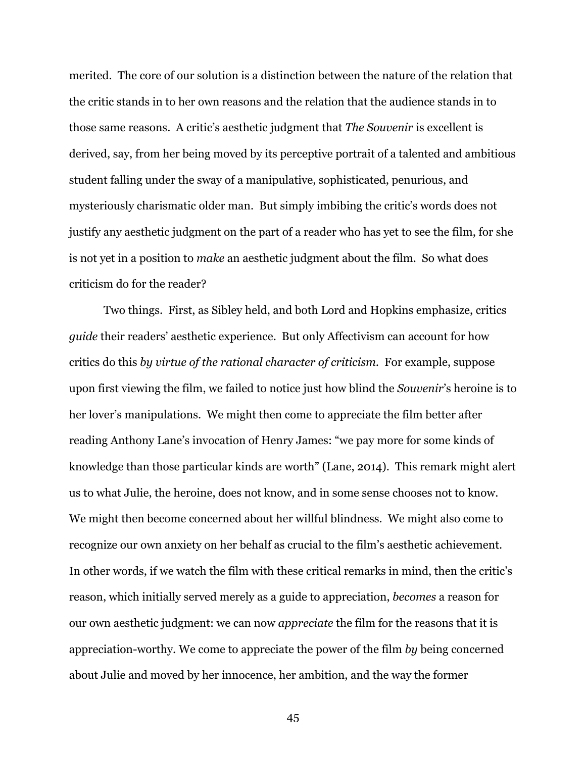merited. The core of our solution is a distinction between the nature of the relation that the critic stands in to her own reasons and the relation that the audience stands in to those same reasons. A critic's aesthetic judgment that *The Souvenir* is excellent is derived, say, from her being moved by its perceptive portrait of a talented and ambitious student falling under the sway of a manipulative, sophisticated, penurious, and mysteriously charismatic older man. But simply imbibing the critic's words does not justify any aesthetic judgment on the part of a reader who has yet to see the film, for she is not yet in a position to *make* an aesthetic judgment about the film. So what does criticism do for the reader?

Two things. First, as Sibley held, and both Lord and Hopkins emphasize, critics *guide* their readers' aesthetic experience. But only Affectivism can account for how critics do this *by virtue of the rational character of criticism*. For example, suppose upon first viewing the film, we failed to notice just how blind the *Souvenir*'s heroine is to her lover's manipulations. We might then come to appreciate the film better after reading Anthony Lane's invocation of Henry James: "we pay more for some kinds of knowledge than those particular kinds are worth" (Lane, 2014). This remark might alert us to what Julie, the heroine, does not know, and in some sense chooses not to know. We might then become concerned about her willful blindness. We might also come to recognize our own anxiety on her behalf as crucial to the film's aesthetic achievement. In other words, if we watch the film with these critical remarks in mind, then the critic's reason, which initially served merely as a guide to appreciation, *becomes* a reason for our own aesthetic judgment: we can now *appreciate* the film for the reasons that it is appreciation-worthy. We come to appreciate the power of the film *by* being concerned about Julie and moved by her innocence, her ambition, and the way the former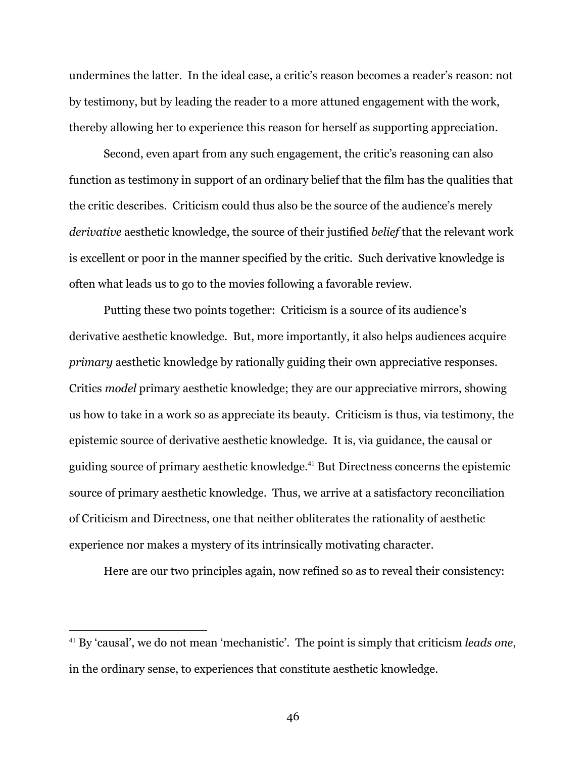undermines the latter. In the ideal case, a critic's reason becomes a reader's reason: not by testimony, but by leading the reader to a more attuned engagement with the work, thereby allowing her to experience this reason for herself as supporting appreciation.

Second, even apart from any such engagement, the critic's reasoning can also function as testimony in support of an ordinary belief that the film has the qualities that the critic describes. Criticism could thus also be the source of the audience's merely *derivative* aesthetic knowledge, the source of their justified *belief* that the relevant work is excellent or poor in the manner specified by the critic. Such derivative knowledge is often what leads us to go to the movies following a favorable review.

Putting these two points together: Criticism is a source of its audience's derivative aesthetic knowledge. But, more importantly, it also helps audiences acquire *primary* aesthetic knowledge by rationally guiding their own appreciative responses. Critics *model* primary aesthetic knowledge; they are our appreciative mirrors, showing us how to take in a work so as appreciate its beauty. Criticism is thus, via testimony, the epistemic source of derivative aesthetic knowledge. It is, via guidance, the causal or guiding source of primary aesthetic knowledge.<sup>41</sup> But Directness concerns the epistemic source of primary aesthetic knowledge. Thus, we arrive at a satisfactory reconciliation of Criticism and Directness, one that neither obliterates the rationality of aesthetic experience nor makes a mystery of its intrinsically motivating character.

Here are our two principles again, now refined so as to reveal their consistency:

<sup>41</sup> By 'causal', we do not mean 'mechanistic'. The point is simply that criticism *leads one*, in the ordinary sense, to experiences that constitute aesthetic knowledge.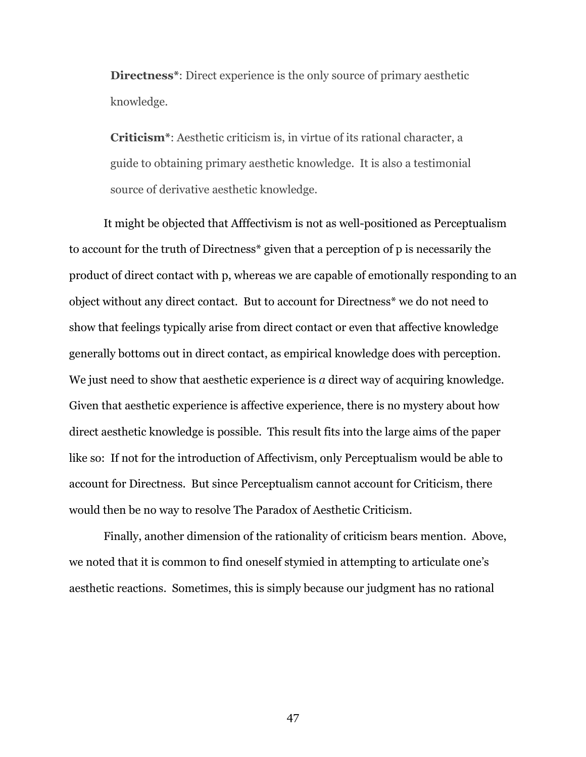**Directness\***: Direct experience is the only source of primary aesthetic knowledge.

**Criticism\***: Aesthetic criticism is, in virtue of its rational character, a guide to obtaining primary aesthetic knowledge. It is also a testimonial source of derivative aesthetic knowledge.

It might be objected that Afffectivism is not as well-positioned as Perceptualism to account for the truth of Directness\* given that a perception of p is necessarily the product of direct contact with p, whereas we are capable of emotionally responding to an object without any direct contact. But to account for Directness\* we do not need to show that feelings typically arise from direct contact or even that affective knowledge generally bottoms out in direct contact, as empirical knowledge does with perception. We just need to show that aesthetic experience is *a* direct way of acquiring knowledge. Given that aesthetic experience is affective experience, there is no mystery about how direct aesthetic knowledge is possible. This result fits into the large aims of the paper like so: If not for the introduction of Affectivism, only Perceptualism would be able to account for Directness. But since Perceptualism cannot account for Criticism, there would then be no way to resolve The Paradox of Aesthetic Criticism.

Finally, another dimension of the rationality of criticism bears mention. Above, we noted that it is common to find oneself stymied in attempting to articulate one's aesthetic reactions. Sometimes, this is simply because our judgment has no rational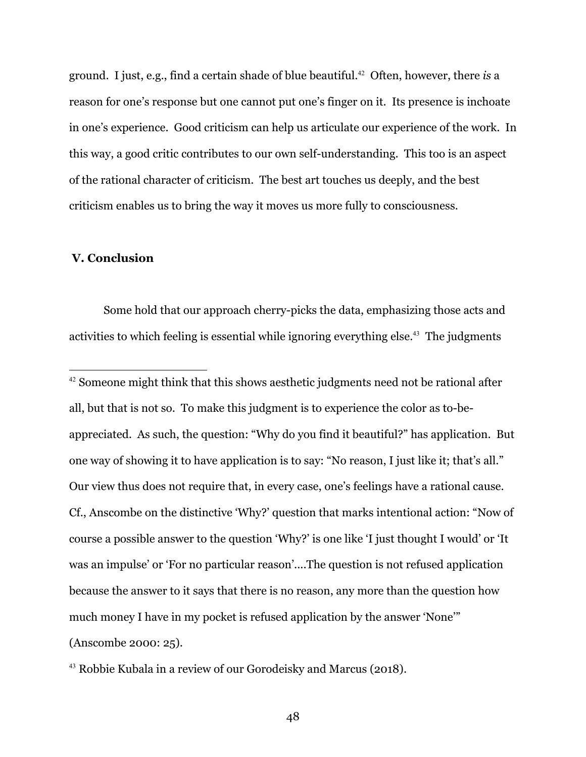ground. I just, e.g., find a certain shade of blue beautiful.<sup>42</sup> Often, however, there *is* a reason for one's response but one cannot put one's finger on it. Its presence is inchoate in one's experience. Good criticism can help us articulate our experience of the work. In this way, a good critic contributes to our own self-understanding. This too is an aspect of the rational character of criticism. The best art touches us deeply, and the best criticism enables us to bring the way it moves us more fully to consciousness.

# **V. Conclusion**

Some hold that our approach cherry-picks the data, emphasizing those acts and activities to which feeling is essential while ignoring everything else.<sup>43</sup> The judgments

<sup>43</sup> Robbie Kubala in a review of our Gorodeisky and Marcus (2018).

<sup>&</sup>lt;sup>42</sup> Someone might think that this shows aesthetic judgments need not be rational after all, but that is not so. To make this judgment is to experience the color as to-beappreciated. As such, the question: "Why do you find it beautiful?" has application. But one way of showing it to have application is to say: "No reason, I just like it; that's all." Our view thus does not require that, in every case, one's feelings have a rational cause. Cf., Anscombe on the distinctive 'Why?' question that marks intentional action: "Now of course a possible answer to the question 'Why?' is one like 'I just thought I would' or 'It was an impulse' or 'For no particular reason'....The question is not refused application because the answer to it says that there is no reason, any more than the question how much money I have in my pocket is refused application by the answer 'None'" (Anscombe 2000: 25).

<sup>48</sup>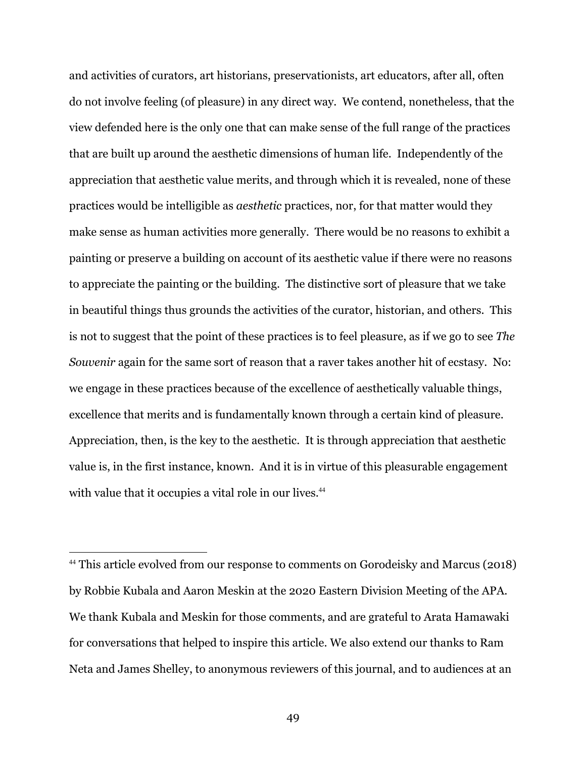and activities of curators, art historians, preservationists, art educators, after all, often do not involve feeling (of pleasure) in any direct way. We contend, nonetheless, that the view defended here is the only one that can make sense of the full range of the practices that are built up around the aesthetic dimensions of human life. Independently of the appreciation that aesthetic value merits, and through which it is revealed, none of these practices would be intelligible as *aesthetic* practices, nor, for that matter would they make sense as human activities more generally. There would be no reasons to exhibit a painting or preserve a building on account of its aesthetic value if there were no reasons to appreciate the painting or the building. The distinctive sort of pleasure that we take in beautiful things thus grounds the activities of the curator, historian, and others. This is not to suggest that the point of these practices is to feel pleasure, as if we go to see *The Souvenir* again for the same sort of reason that a raver takes another hit of ecstasy. No: we engage in these practices because of the excellence of aesthetically valuable things, excellence that merits and is fundamentally known through a certain kind of pleasure. Appreciation, then, is the key to the aesthetic. It is through appreciation that aesthetic value is, in the first instance, known. And it is in virtue of this pleasurable engagement with value that it occupies a vital role in our lives.<sup>44</sup>

<sup>44</sup> This article evolved from our response to comments on Gorodeisky and Marcus (2018) by Robbie Kubala and Aaron Meskin at the 2020 Eastern Division Meeting of the APA. We thank Kubala and Meskin for those comments, and are grateful to Arata Hamawaki for conversations that helped to inspire this article. We also extend our thanks to Ram Neta and James Shelley, to anonymous reviewers of this journal, and to audiences at an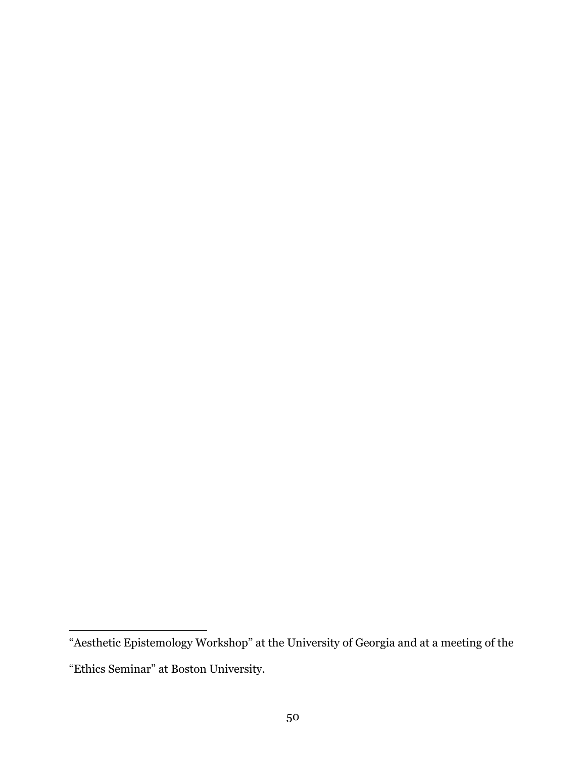<sup>&</sup>quot;Aesthetic Epistemology Workshop" at the University of Georgia and at a meeting of the "Ethics Seminar" at Boston University.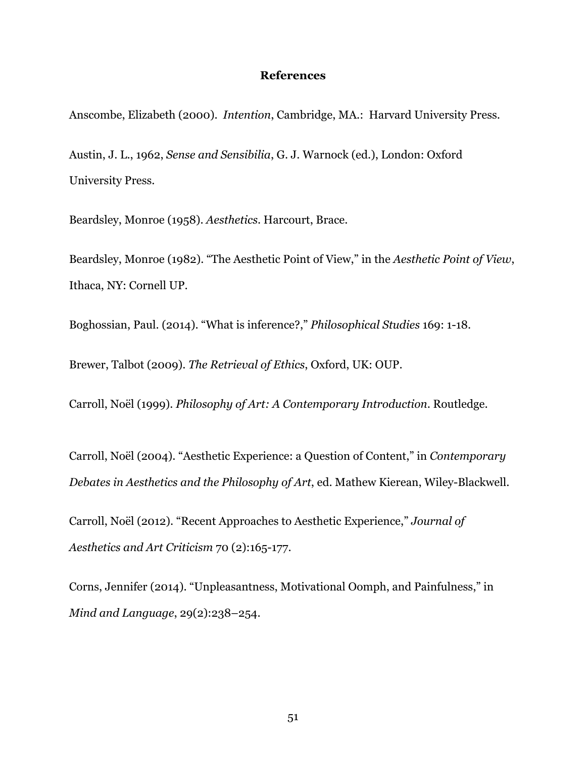## **References**

Anscombe, Elizabeth (2000). *Intention*, Cambridge, MA.: Harvard University Press.

Austin, J. L., 1962, *Sense and Sensibilia*, G. J. Warnock (ed.), London: Oxford University Press.

Beardsley, Monroe (1958). *Aesthetics*. Harcourt, Brace.

Beardsley, Monroe (1982). "The Aesthetic Point of View," in the *Aesthetic Point of View*, Ithaca, NY: Cornell UP.

Boghossian, Paul. (2014). "What is inference?," *Philosophical Studies* 169: 1-18.

Brewer, Talbot (2009). *The Retrieval of Ethics*, Oxford, UK: OUP.

Carroll, Noël (1999). *Philosophy of Art: A Contemporary Introduction*. Routledge.

Carroll, Noël (2004). "Aesthetic Experience: a Question of Content," in *Contemporary Debates in Aesthetics and the Philosophy of Art*, ed. Mathew Kierean, Wiley-Blackwell.

Carroll, Noël (2012). "Recent Approaches to Aesthetic Experience," *Journal of Aesthetics and Art Criticism* 70 (2):165-177.

Corns, Jennifer (2014). "Unpleasantness, Motivational Oomph, and Painfulness," in *Mind and Language*, 29(2):238–254.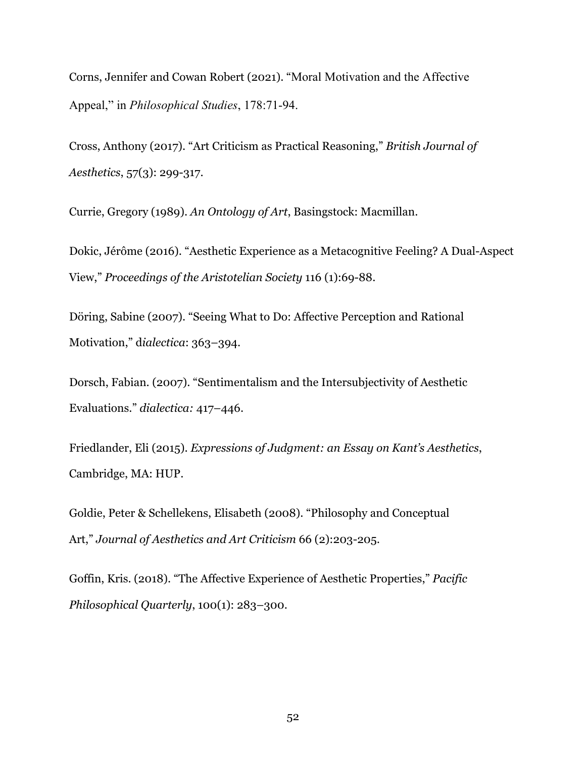Corns, Jennifer and Cowan Robert (2021). "Moral Motivation and the Affective Appeal," in *Philosophical Studies*, 178:71-94.

Cross, Anthony (2017). "Art Criticism as Practical Reasoning," *British Journal of Aesthetics*, 57(3): 299-317.

Currie, Gregory (1989). *An Ontology of Art*, Basingstock: Macmillan.

Dokic, Jérôme (2016). "Aesthetic Experience as a Metacognitive Feeling? A Dual-Aspect View," *Proceedings of the Aristotelian Society* 116 (1):69-88.

Döring, Sabine (2007). "Seeing What to Do: Affective Perception and Rational Motivation," d*ialectica*: 363–394.

Dorsch, Fabian. (2007). "Sentimentalism and the Intersubjectivity of Aesthetic Evaluations." *dialectica:* 417–446.

Friedlander, Eli (2015). *Expressions of Judgment: an Essay on Kant's Aesthetics*, Cambridge, MA: HUP.

Goldie, Peter & Schellekens, Elisabeth (2008). "Philosophy and Conceptual Art," *Journal of Aesthetics and Art Criticism* 66 (2):203-205.

Goffin, Kris. (2018). "The Affective Experience of Aesthetic Properties," *Pacific Philosophical Quarterly*, 100(1): 283–300.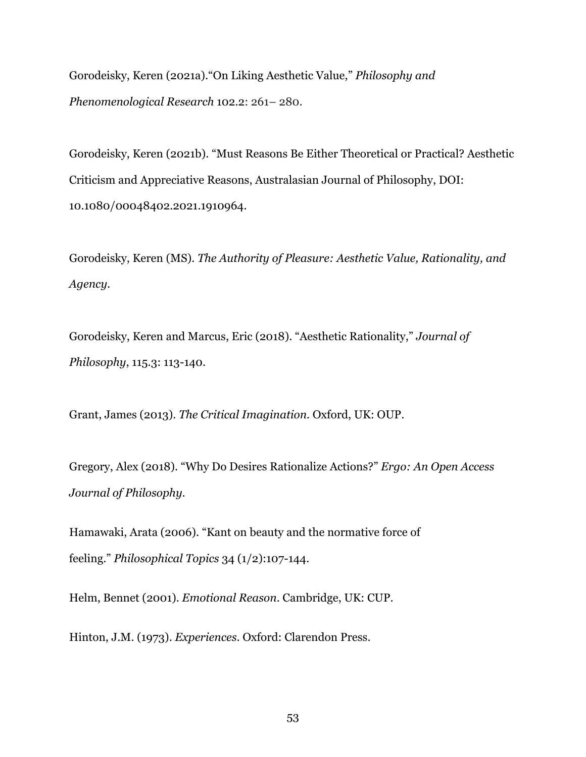Gorodeisky, Keren (2021a)."On Liking Aesthetic Value," *Philosophy and Phenomenological Research* 102.2: 261– 280.

Gorodeisky, Keren (2021b). "Must Reasons Be Either Theoretical or Practical? Aesthetic Criticism and Appreciative Reasons, Australasian Journal of Philosophy, DOI: 10.1080/00048402.2021.1910964.

Gorodeisky, Keren (MS). *The Authority of Pleasure: Aesthetic Value, Rationality, and Agency.*

Gorodeisky, Keren and Marcus, Eric (2018). "Aesthetic Rationality," *Journal of Philosophy*, 115.3: 113-140.

Grant, James (2013). *The Critical Imagination.* Oxford, UK: OUP.

Gregory, Alex (2018). "Why Do Desires Rationalize Actions?" *Ergo: An Open Access Journal of Philosophy*.

Hamawaki, Arata (2006). "Kant on beauty and the normative force of feeling." *Philosophical Topics* 34 (1/2):107-144.

Helm, Bennet (2001). *Emotional Reason*. Cambridge, UK: CUP.

Hinton, J.M. (1973). *Experiences*. Oxford: Clarendon Press.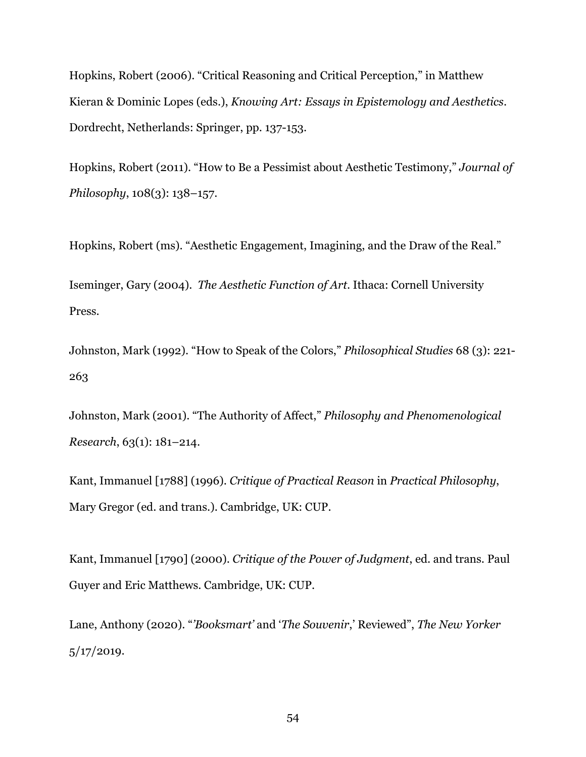Hopkins, Robert (2006). "Critical Reasoning and Critical Perception," in Matthew Kieran & Dominic Lopes (eds.), *Knowing Art: Essays in Epistemology and Aesthetics*. Dordrecht, Netherlands: Springer, pp. 137-153.

Hopkins, Robert (2011). "How to Be a Pessimist about Aesthetic Testimony," *Journal of Philosophy*, 108(3): 138–157.

Hopkins, Robert (ms). "Aesthetic Engagement, Imagining, and the Draw of the Real."

Iseminger, Gary (2004). *The Aesthetic Function of Art*. Ithaca: Cornell University Press.

Johnston, Mark (1992). "How to Speak of the Colors," *Philosophical Studies* 68 (3): 221- 263

Johnston, Mark (2001). "The Authority of Affect," *Philosophy and Phenomenological Research*, 63(1): 181–214.

Kant, Immanuel [1788] (1996). *Critique of Practical Reason* in *Practical Philosophy*, Mary Gregor (ed. and trans.). Cambridge, UK: CUP.

Kant, Immanuel [1790] (2000). *Critique of the Power of Judgment*, ed. and trans. Paul Guyer and Eric Matthews. Cambridge, UK: CUP.

Lane, Anthony (2020). "*'Booksmart'* and '*The Souvenir*,' Reviewed", *The New Yorker* 5/17/2019.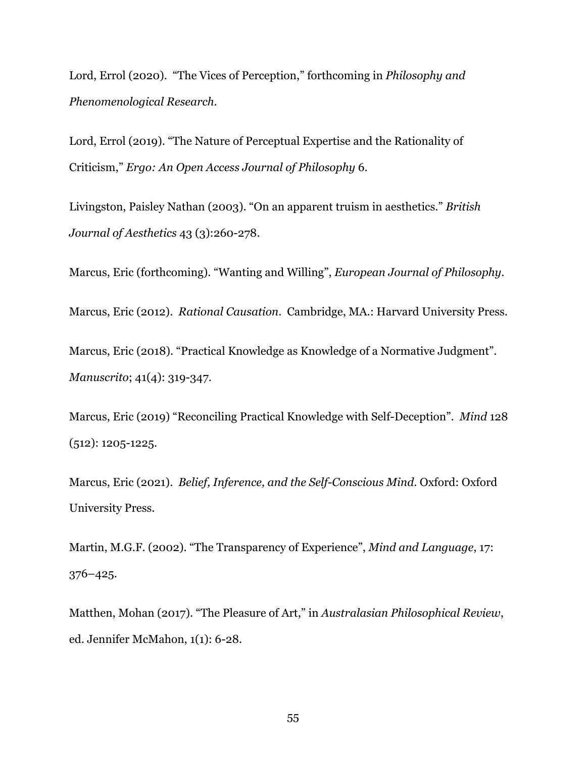Lord, Errol (2020). "The Vices of Perception," forthcoming in *Philosophy and Phenomenological Research*.

Lord, Errol (2019). "The Nature of Perceptual Expertise and the Rationality of Criticism," *Ergo: An Open Access Journal of Philosophy* 6.

Livingston, Paisley Nathan (2003). "On an apparent truism in aesthetics." *British Journal of Aesthetics* 43 (3):260-278.

Marcus, Eric (forthcoming). "Wanting and Willing", *European Journal of Philosophy*.

Marcus, Eric (2012). *Rational Causation*. Cambridge, MA.: Harvard University Press.

Marcus, Eric (2018). "Practical Knowledge as Knowledge of a Normative Judgment". *Manuscrito*; 41(4): 319-347.

Marcus, Eric (2019) "Reconciling Practical Knowledge with Self-Deception". *Mind* 128 (512): 1205-1225*.*

Marcus, Eric (2021). *Belief, Inference, and the Self-Conscious Mind*. Oxford: Oxford University Press.

Martin, M.G.F. (2002). "The Transparency of Experience", *Mind and Language*, 17: 376–425.

Matthen, Mohan (2017). "The Pleasure of Art," in *Australasian Philosophical Review*, ed. Jennifer McMahon, 1(1): 6-28.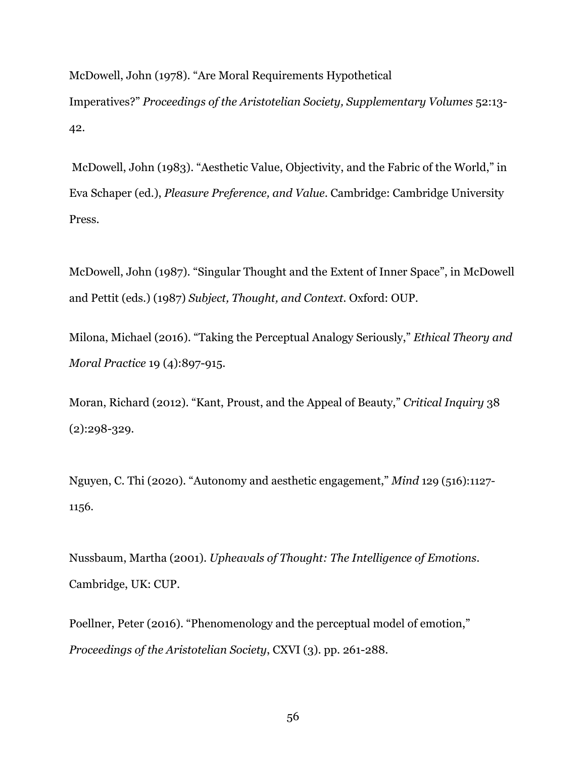McDowell, John (1978). "Are Moral Requirements Hypothetical Imperatives?" *Proceedings of the Aristotelian Society, Supplementary Volumes* 52:13- 42.

McDowell, John (1983). "Aesthetic Value, Objectivity, and the Fabric of the World," in Eva Schaper (ed.), *Pleasure Preference, and Value*. Cambridge: Cambridge University Press.

McDowell, John (1987). "Singular Thought and the Extent of Inner Space", in McDowell and Pettit (eds.) (1987) *Subject, Thought, and Context*. Oxford: OUP.

Milona, Michael (2016). "Taking the Perceptual Analogy Seriously," *Ethical Theory and Moral Practice* 19 (4):897-915.

Moran, Richard (2012). "Kant, Proust, and the Appeal of Beauty," *Critical Inquiry* 38 (2):298-329.

Nguyen, C. Thi (2020). "Autonomy and aesthetic engagement," *Mind* 129 (516):1127- 1156.

Nussbaum, Martha (2001). *Upheavals of Thought: The Intelligence of Emotions*. Cambridge, UK: CUP.

Poellner, Peter (2016). "Phenomenology and the perceptual model of emotion," *Proceedings of the Aristotelian Society*, CXVI (3). pp. 261-288.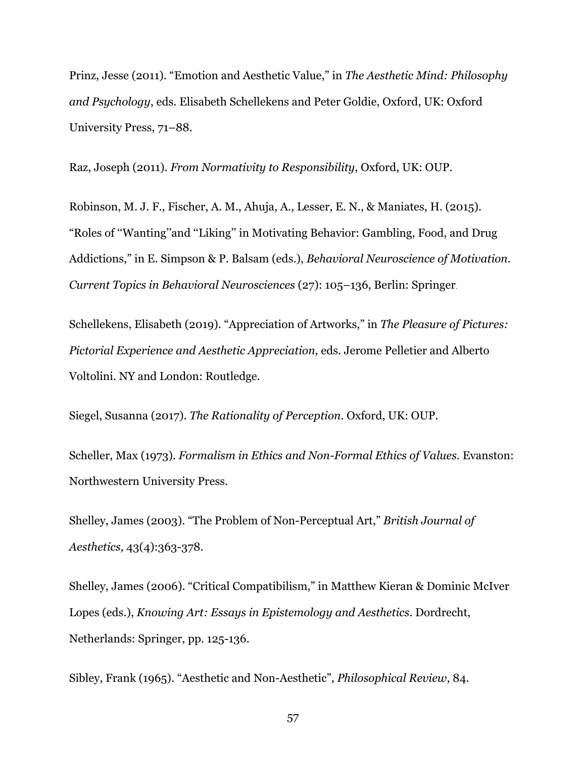Prinz, Jesse (2011). "Emotion and Aesthetic Value," in *The Aesthetic Mind: Philosophy and Psychology*, eds. Elisabeth Schellekens and Peter Goldie, Oxford, UK: Oxford University Press, 71–88.

Raz, Joseph (2011). *From Normativity to Responsibility*, Oxford, UK: OUP.

Robinson, M. J. F., Fischer, A. M., Ahuja, A., Lesser, E. N., & Maniates, H. (2015). "Roles of ''Wanting''and ''Liking'' in Motivating Behavior: Gambling, Food, and Drug Addictions," in E. Simpson & P. Balsam (eds.), *Behavioral Neuroscience of Motivation. Current Topics in Behavioral Neurosciences* (27): 105–136, Berlin: Springer.

Schellekens, Elisabeth (2019). "Appreciation of Artworks," in *The Pleasure of Pictures: Pictorial Experience and Aesthetic Appreciation*, eds. Jerome Pelletier and Alberto Voltolini. NY and London: Routledge.

Siegel, Susanna (2017). *The Rationality of Perception*. Oxford, UK: OUP.

Scheller, Max (1973). *Formalism in Ethics and Non-Formal Ethics of Values.* Evanston: Northwestern University Press.

Shelley, James (2003). "The Problem of Non-Perceptual Art," *British Journal of Aesthetics,* 43(4):363-378.

Shelley, James (2006). "Critical Compatibilism," in Matthew Kieran & Dominic McIver Lopes (eds.), *Knowing Art: Essays in Epistemology and Aesthetics*. Dordrecht, Netherlands: Springer, pp. 125-136.

Sibley, Frank (1965). "Aesthetic and Non-Aesthetic", *Philosophical Review*, 84.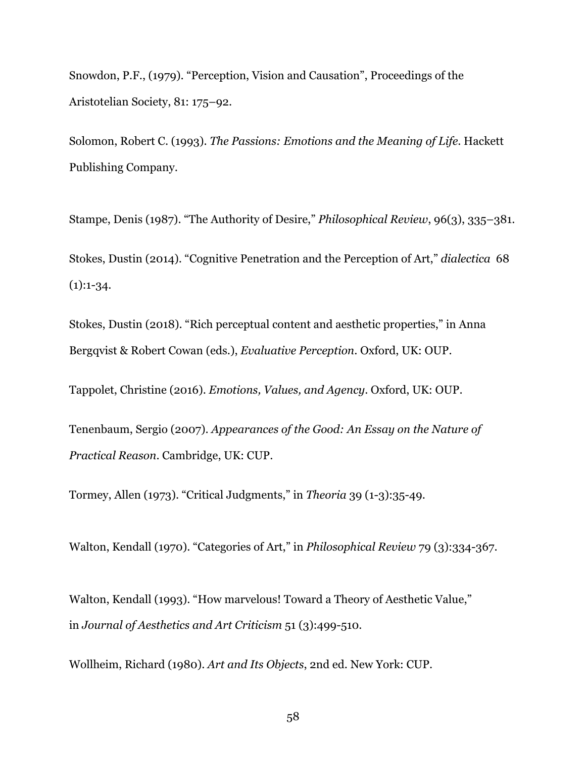Snowdon, P.F., (1979). "Perception, Vision and Causation", Proceedings of the Aristotelian Society, 81: 175–92.

Solomon, Robert C. (1993). *The Passions: Emotions and the Meaning of Life*. Hackett Publishing Company.

Stampe, Denis (1987). "The Authority of Desire," *Philosophical Review*, 96(3), 335–381. Stokes, Dustin (2014). "Cognitive Penetration and the Perception of Art," *dialectica* 68  $(1):1-34.$ 

Stokes, Dustin (2018). "Rich perceptual content and aesthetic properties," in Anna Bergqvist & Robert Cowan (eds.), *Evaluative Perception*. Oxford, UK: OUP.

Tappolet, Christine (2016). *Emotions, Values, and Agency*. Oxford, UK: OUP.

Tenenbaum, Sergio (2007). *Appearances of the Good: An Essay on the Nature of Practical Reason*. Cambridge, UK: CUP.

Tormey, Allen (1973). "Critical Judgments," in *Theoria* 39 (1-3):35-49.

Walton, Kendall (1970). "Categories of Art," in *Philosophical Review* 79 (3):334-367.

Walton, Kendall (1993). "How marvelous! Toward a Theory of Aesthetic Value," in *Journal of Aesthetics and Art Criticism* 51 (3):499-510.

Wollheim, Richard (1980). *Art and Its Objects*, 2nd ed. New York: CUP.